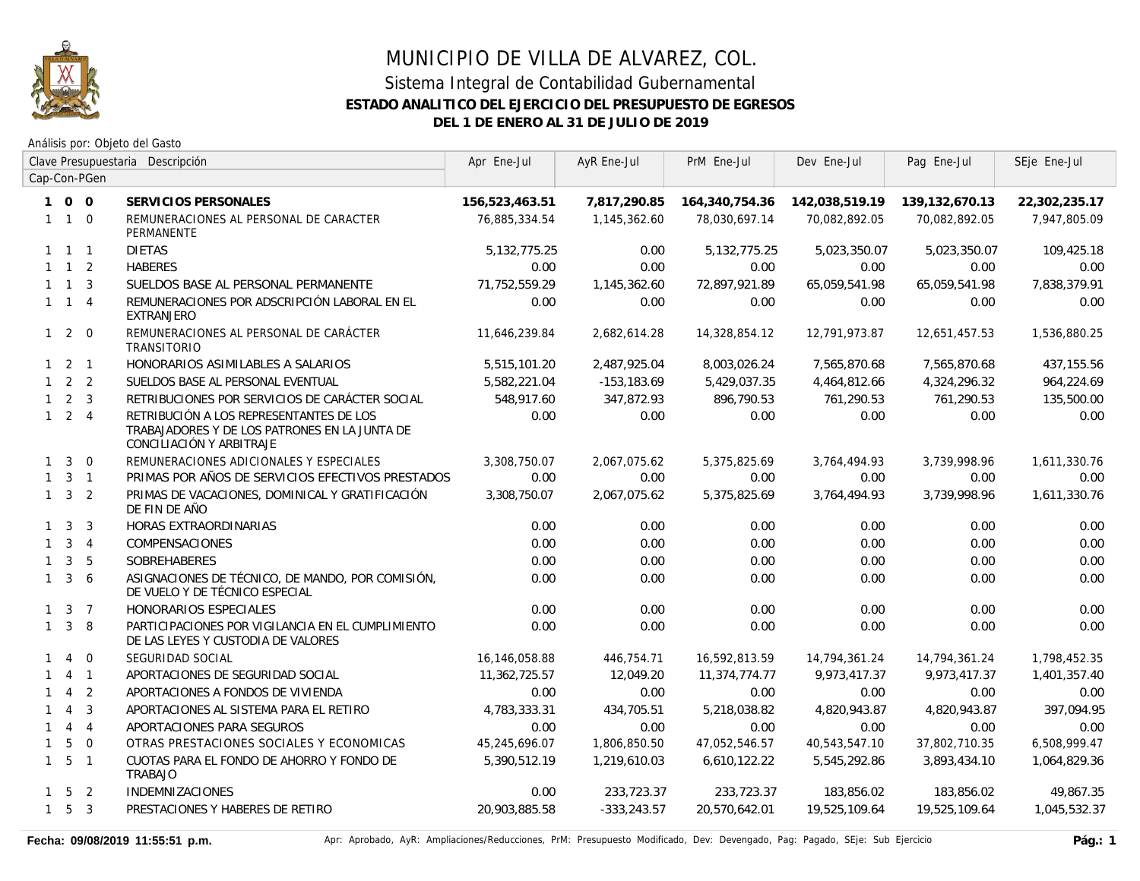

|              |                     |                | Clave Presupuestaria Descripción                                                                                     | Apr Ene-Jul     | AyR Ene-Jul    | PrM Ene-Jul     | Dev Ene-Jul    | Pag Ene-Jul    | SEje Ene-Jul  |
|--------------|---------------------|----------------|----------------------------------------------------------------------------------------------------------------------|-----------------|----------------|-----------------|----------------|----------------|---------------|
|              |                     | Cap-Con-PGen   |                                                                                                                      |                 |                |                 |                |                |               |
|              | 100                 |                | SERVICIOS PERSONALES                                                                                                 | 156,523,463.51  | 7,817,290.85   | 164,340,754.36  | 142,038,519.19 | 139,132,670.13 | 22,302,235.17 |
|              | $1 1 0$             |                | REMUNERACIONES AL PERSONAL DE CARACTER<br>PERMANENTE                                                                 | 76,885,334.54   | 1,145,362.60   | 78,030,697.14   | 70,082,892.05  | 70,082,892.05  | 7,947,805.09  |
|              | $1 \quad 1 \quad 1$ |                | <b>DIETAS</b>                                                                                                        | 5, 132, 775. 25 | 0.00           | 5, 132, 775. 25 | 5,023,350.07   | 5,023,350.07   | 109,425.18    |
|              | $1 \quad 1 \quad 2$ |                | <b>HABERES</b>                                                                                                       | 0.00            | 0.00           | 0.00            | 0.00           | 0.00           | 0.00          |
|              | $1 \quad 1 \quad 3$ |                | SUELDOS BASE AL PERSONAL PERMANENTE                                                                                  | 71.752.559.29   | 1,145,362.60   | 72,897,921.89   | 65,059,541.98  | 65,059,541.98  | 7,838,379.91  |
|              | $1 \quad 1 \quad 4$ |                | REMUNERACIONES POR ADSCRIPCIÓN LABORAL EN EL<br><b>EXTRANJERO</b>                                                    | 0.00            | 0.00           | 0.00            | 0.00           | 0.00           | 0.00          |
|              | $1\quad2\quad0$     |                | REMUNERACIONES AL PERSONAL DE CARÁCTER<br><b>TRANSITORIO</b>                                                         | 11,646,239.84   | 2,682,614.28   | 14,328,854.12   | 12,791,973.87  | 12,651,457.53  | 1,536,880.25  |
|              | $1 \quad 2 \quad 1$ |                | HONORARIOS ASIMILABLES A SALARIOS                                                                                    | 5,515,101.20    | 2,487,925.04   | 8,003,026.24    | 7,565,870.68   | 7,565,870.68   | 437,155.56    |
|              | $1 \quad 2 \quad 2$ |                | SUELDOS BASE AL PERSONAL EVENTUAL                                                                                    | 5,582,221.04    | $-153, 183.69$ | 5,429,037.35    | 4,464,812.66   | 4,324,296.32   | 964,224.69    |
|              | $1 \quad 2 \quad 3$ |                | RETRIBUCIONES POR SERVICIOS DE CARÁCTER SOCIAL                                                                       | 548,917.60      | 347,872.93     | 896,790.53      | 761,290.53     | 761,290.53     | 135,500.00    |
|              | $1 \quad 2 \quad 4$ |                | RETRIBUCIÓN A LOS REPRESENTANTES DE LOS<br>TRABAJADORES Y DE LOS PATRONES EN LA JUNTA DE<br>CONCILIACIÓN Y ARBITRAJE | 0.00            | 0.00           | 0.00            | 0.00           | 0.00           | 0.00          |
| $\mathbf{1}$ | $\overline{3}$      | $\overline{0}$ | REMUNERACIONES ADICIONALES Y ESPECIALES                                                                              | 3,308,750.07    | 2,067,075.62   | 5,375,825.69    | 3,764,494.93   | 3,739,998.96   | 1,611,330.76  |
| $\mathbf{1}$ |                     | $3 \quad 1$    | PRIMAS POR AÑOS DE SERVICIOS EFECTIVOS PRESTADOS                                                                     | 0.00            | 0.00           | 0.00            | 0.00           | 0.00           | 0.00          |
|              | $1 \quad 3 \quad 2$ |                | PRIMAS DE VACACIONES, DOMINICAL Y GRATIFICACIÓN<br>DE FIN DE AÑO                                                     | 3,308,750.07    | 2,067,075.62   | 5,375,825.69    | 3,764,494.93   | 3,739,998.96   | 1,611,330.76  |
|              | $1 \quad 3$         | $\overline{3}$ | HORAS EXTRAORDINARIAS                                                                                                | 0.00            | 0.00           | 0.00            | 0.00           | 0.00           | 0.00          |
|              | $1 \quad 3 \quad 4$ |                | COMPENSACIONES                                                                                                       | 0.00            | 0.00           | 0.00            | 0.00           | 0.00           | 0.00          |
| $\mathbf{1}$ |                     | 3 <sub>5</sub> | SOBREHABERES                                                                                                         | 0.00            | 0.00           | 0.00            | 0.00           | 0.00           | 0.00          |
| $\mathbf{1}$ | $\mathbf{3}$        | 6              | ASIGNACIONES DE TÉCNICO, DE MANDO, POR COMISIÓN,<br>DE VUELO Y DE TÉCNICO ESPECIAL                                   | 0.00            | 0.00           | 0.00            | 0.00           | 0.00           | 0.00          |
|              | $1 \quad 3 \quad 7$ |                | HONORARIOS ESPECIALES                                                                                                | 0.00            | 0.00           | 0.00            | 0.00           | 0.00           | 0.00          |
|              | $1 \quad 3$         | 8              | PARTICIPACIONES POR VIGILANCIA EN EL CUMPLIMIENTO<br>DE LAS LEYES Y CUSTODIA DE VALORES                              | 0.00            | 0.00           | 0.00            | 0.00           | 0.00           | 0.00          |
| $\mathbf{1}$ | $\overline{4}$      | $\Omega$       | SEGURIDAD SOCIAL                                                                                                     | 16,146,058.88   | 446,754.71     | 16,592,813.59   | 14,794,361.24  | 14,794,361.24  | 1,798,452.35  |
| 1            |                     | $4 \quad 1$    | APORTACIONES DE SEGURIDAD SOCIAL                                                                                     | 11,362,725.57   | 12,049.20      | 11,374,774.77   | 9,973,417.37   | 9,973,417.37   | 1,401,357.40  |
|              | $\overline{4}$      | 2              | APORTACIONES A FONDOS DE VIVIENDA                                                                                    | 0.00            | 0.00           | 0.00            | 0.00           | 0.00           | 0.00          |
| $\mathbf{1}$ | $\overline{4}$      | $\overline{3}$ | APORTACIONES AL SISTEMA PARA EL RETIRO                                                                               | 4,783,333.31    | 434,705.51     | 5,218,038.82    | 4,820,943.87   | 4,820,943.87   | 397,094.95    |
| $\mathbf{1}$ |                     | $4 \quad 4$    | APORTACIONES PARA SEGUROS                                                                                            | 0.00            | 0.00           | 0.00            | 0.00           | 0.00           | 0.00          |
| $\mathbf{1}$ | 5                   | $\overline{0}$ | OTRAS PRESTACIONES SOCIALES Y ECONOMICAS                                                                             | 45,245,696.07   | 1,806,850.50   | 47,052,546.57   | 40,543,547.10  | 37,802,710.35  | 6,508,999.47  |
|              | $1\quad 5\quad 1$   |                | CUOTAS PARA EL FONDO DE AHORRO Y FONDO DE<br><b>TRABAJO</b>                                                          | 5,390,512.19    | 1,219,610.03   | 6,610,122.22    | 5,545,292.86   | 3,893,434.10   | 1,064,829.36  |
|              | $1 \quad 5 \quad 2$ |                | <b>INDEMNIZACIONES</b>                                                                                               | 0.00            | 233,723.37     | 233,723.37      | 183,856.02     | 183,856.02     | 49,867.35     |
|              | $1\quad 5\quad 3$   |                | PRESTACIONES Y HABERES DE RETIRO                                                                                     | 20,903,885.58   | $-333,243.57$  | 20,570,642.01   | 19,525,109.64  | 19,525,109.64  | 1,045,532.37  |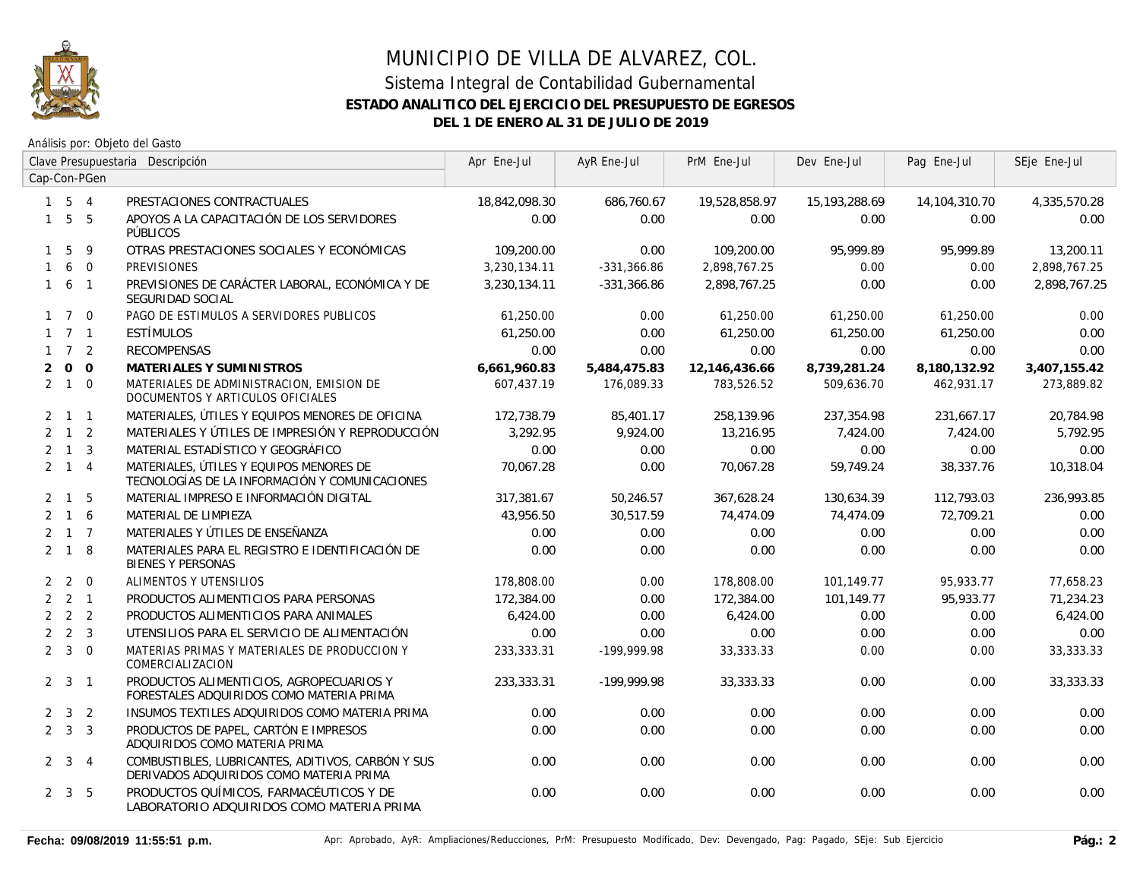

|              | Clave Presupuestaria Descripción |              | Apr Ene-Jul                                                                                  | AyR Ene-Jul   | PrM Ene-Jul   | Dev Ene-Jul   | Pag Ene-Jul   | SEje Ene-Jul  |              |
|--------------|----------------------------------|--------------|----------------------------------------------------------------------------------------------|---------------|---------------|---------------|---------------|---------------|--------------|
|              |                                  | Cap-Con-PGen |                                                                                              |               |               |               |               |               |              |
|              | $1 \quad 5 \quad 4$              |              | PRESTACIONES CONTRACTUALES                                                                   | 18,842,098.30 | 686,760.67    | 19,528,858.97 | 15,193,288.69 | 14,104,310.70 | 4,335,570.28 |
|              | $1\quad 5\quad 5$                |              | APOYOS A LA CAPACITACIÓN DE LOS SERVIDORES<br>PÚBLICOS                                       | 0.00          | 0.00          | 0.00          | 0.00          | 0.00          | 0.00         |
| $\mathbf{1}$ | 5                                | 9            | OTRAS PRESTACIONES SOCIALES Y ECONÓMICAS                                                     | 109,200.00    | 0.00          | 109,200.00    | 95,999.89     | 95,999.89     | 13,200.11    |
| $\mathbf{1}$ |                                  | 6 0          | <b>PREVISIONES</b>                                                                           | 3,230,134.11  | $-331,366.86$ | 2,898,767.25  | 0.00          | 0.00          | 2,898,767.25 |
|              | $1\quad 6\quad 1$                |              | PREVISIONES DE CARÁCTER LABORAL, ECONÓMICA Y DE<br>SEGURIDAD SOCIAL                          | 3,230,134.11  | $-331,366.86$ | 2,898,767.25  | 0.00          | 0.00          | 2,898,767.25 |
|              | $1 \quad 7 \quad 0$              |              | PAGO DE ESTIMULOS A SERVIDORES PUBLICOS                                                      | 61,250.00     | 0.00          | 61,250.00     | 61,250.00     | 61,250.00     | 0.00         |
|              | $1 \quad 7 \quad 1$              |              | ESTÍMULOS                                                                                    | 61.250.00     | 0.00          | 61.250.00     | 61.250.00     | 61.250.00     | 0.00         |
|              | $1 \quad 7 \quad 2$              |              | <b>RECOMPENSAS</b>                                                                           | 0.00          | 0.00          | 0.00          | 0.00          | 0.00          | 0.00         |
| 2            |                                  | $0\quad 0$   | MATERIALES Y SUMINISTROS                                                                     | 6,661,960.83  | 5,484,475.83  | 12,146,436.66 | 8,739,281.24  | 8,180,132.92  | 3,407,155.42 |
|              | $2 \quad 1 \quad 0$              |              | MATERIALES DE ADMINISTRACION, EMISION DE<br>DOCUMENTOS Y ARTICULOS OFICIALES                 | 607.437.19    | 176,089.33    | 783,526.52    | 509.636.70    | 462,931.17    | 273,889.82   |
|              | $2 \quad 1 \quad 1$              |              | MATERIALES, ÚTILES Y EQUIPOS MENORES DE OFICINA                                              | 172,738.79    | 85,401.17     | 258,139.96    | 237,354.98    | 231,667.17    | 20,784.98    |
|              | $2 \quad 1 \quad 2$              |              | MATERIALES Y ÚTILES DE IMPRESIÓN Y REPRODUCCIÓN                                              | 3,292.95      | 9,924.00      | 13,216.95     | 7,424.00      | 7,424.00      | 5,792.95     |
|              | $2 \quad 1 \quad 3$              |              | MATERIAL ESTADÍSTICO Y GEOGRÁFICO                                                            | 0.00          | 0.00          | 0.00          | 0.00          | 0.00          | 0.00         |
|              | $2 \quad 1 \quad 4$              |              | MATERIALES, ÚTILES Y EQUIPOS MENORES DE<br>TECNOLOGÍAS DE LA INFORMACIÓN Y COMUNICACIONES    | 70,067.28     | 0.00          | 70,067.28     | 59,749.24     | 38,337.76     | 10,318.04    |
|              | $2 \quad 1$                      | 5            | MATERIAL IMPRESO E INFORMACIÓN DIGITAL                                                       | 317,381.67    | 50,246.57     | 367,628.24    | 130,634.39    | 112,793.03    | 236,993.85   |
|              | $2 \t1 \t6$                      |              | MATERIAL DE LIMPIEZA                                                                         | 43,956.50     | 30,517.59     | 74,474.09     | 74,474.09     | 72,709.21     | 0.00         |
|              | $2 \quad 1 \quad 7$              |              | MATERIALES Y ÚTILES DE ENSEÑANZA                                                             | 0.00          | 0.00          | 0.00          | 0.00          | 0.00          | 0.00         |
|              | $2 \quad 1 \quad 8$              |              | MATERIALES PARA EL REGISTRO E IDENTIFICACIÓN DE<br><b>BIENES Y PERSONAS</b>                  | 0.00          | 0.00          | 0.00          | 0.00          | 0.00          | 0.00         |
|              | $2 \quad 2 \quad 0$              |              | ALIMENTOS Y UTENSILIOS                                                                       | 178,808.00    | 0.00          | 178,808.00    | 101,149.77    | 95,933.77     | 77,658.23    |
|              | $2 \quad 2 \quad 1$              |              | PRODUCTOS ALIMENTICIOS PARA PERSONAS                                                         | 172,384.00    | 0.00          | 172,384.00    | 101,149.77    | 95,933.77     | 71,234.23    |
|              | $2 \quad 2 \quad 2$              |              | PRODUCTOS ALIMENTICIOS PARA ANIMALES                                                         | 6,424.00      | 0.00          | 6,424.00      | 0.00          | 0.00          | 6,424.00     |
|              | $2\quad 2\quad 3$                |              | UTENSILIOS PARA EL SERVICIO DE ALIMENTACIÓN                                                  | 0.00          | 0.00          | 0.00          | 0.00          | 0.00          | 0.00         |
|              | $2 \quad 3 \quad 0$              |              | MATERIAS PRIMAS Y MATERIALES DE PRODUCCION Y<br>COMERCIALIZACION                             | 233,333.31    | -199,999.98   | 33, 333. 33   | 0.00          | 0.00          | 33, 333. 33  |
|              | $2 \quad 3 \quad 1$              |              | PRODUCTOS ALIMENTICIOS, AGROPECUARIOS Y<br>FORESTALES ADQUIRIDOS COMO MATERIA PRIMA          | 233,333.31    | -199,999.98   | 33,333.33     | 0.00          | 0.00          | 33,333.33    |
|              | $2 \quad 3 \quad 2$              |              | INSUMOS TEXTILES ADQUIRIDOS COMO MATERIA PRIMA                                               | 0.00          | 0.00          | 0.00          | 0.00          | 0.00          | 0.00         |
|              | $2 \quad 3 \quad 3$              |              | PRODUCTOS DE PAPEL, CARTÓN E IMPRESOS<br>ADQUIRIDOS COMO MATERIA PRIMA                       | 0.00          | 0.00          | 0.00          | 0.00          | 0.00          | 0.00         |
|              | $2 \quad 3 \quad 4$              |              | COMBUSTIBLES, LUBRICANTES, ADITIVOS, CARBÓN Y SUS<br>DERIVADOS ADQUIRIDOS COMO MATERIA PRIMA | 0.00          | 0.00          | 0.00          | 0.00          | 0.00          | 0.00         |
|              | $2 \quad 3 \quad 5$              |              | PRODUCTOS QUÍMICOS, FARMACÉUTICOS Y DE<br>LABORATORIO ADQUIRIDOS COMO MATERIA PRIMA          | 0.00          | 0.00          | 0.00          | 0.00          | 0.00          | 0.00         |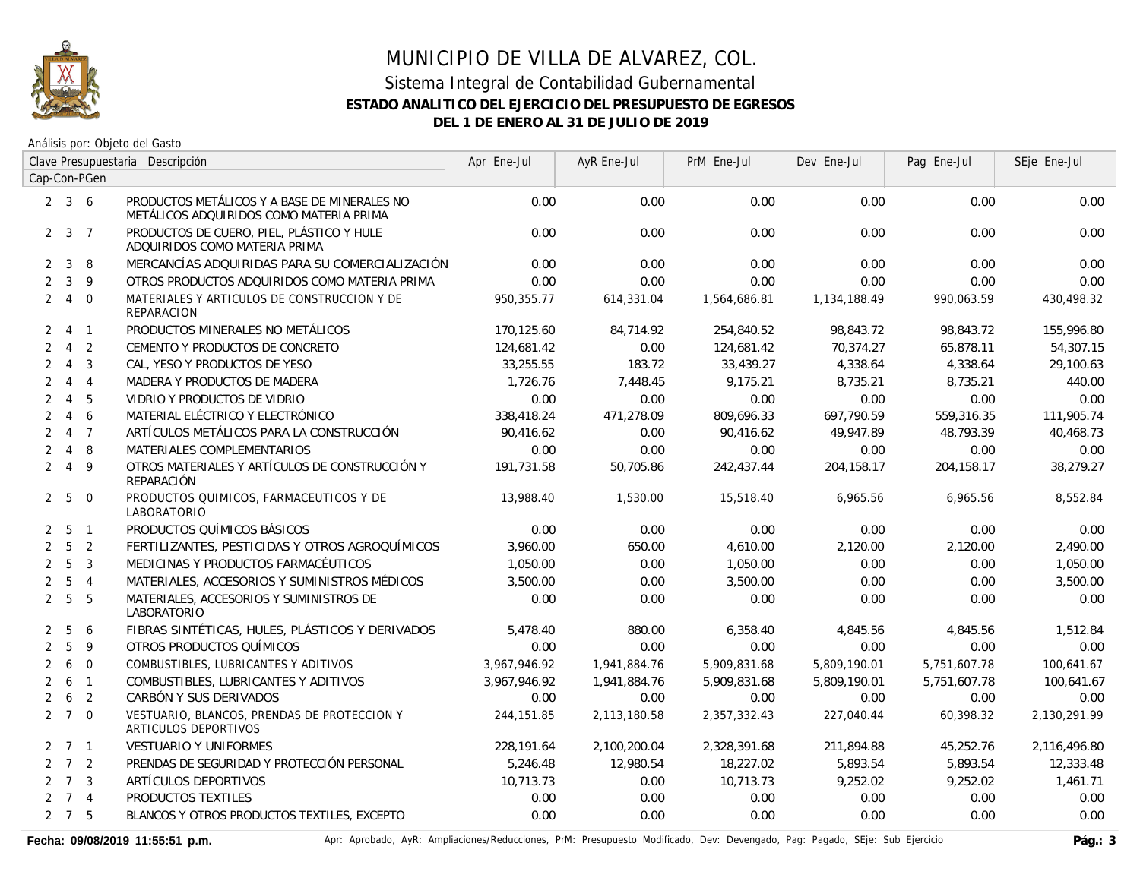

Análisis por: Objeto del Gasto

|                | Clave Presupuestaria Descripción |                |                                                                                         | Apr Ene-Jul  | AyR Ene-Jul  | PrM Ene-Jul  | Dev Ene-Jul  | Pag Ene-Jul  | SEje Ene-Jul |
|----------------|----------------------------------|----------------|-----------------------------------------------------------------------------------------|--------------|--------------|--------------|--------------|--------------|--------------|
|                |                                  | Cap-Con-PGen   |                                                                                         |              |              |              |              |              |              |
|                | $2 \quad 3 \quad 6$              |                | PRODUCTOS METÁLICOS Y A BASE DE MINERALES NO<br>METÁLICOS ADQUIRIDOS COMO MATERIA PRIMA | 0.00         | 0.00         | 0.00         | 0.00         | 0.00         | 0.00         |
|                | $2 \quad 3 \quad 7$              |                | PRODUCTOS DE CUERO, PIEL, PLÁSTICO Y HULE<br>ADQUIRIDOS COMO MATERIA PRIMA              | 0.00         | 0.00         | 0.00         | 0.00         | 0.00         | 0.00         |
| $\overline{2}$ | 3                                | 8              | MERCANCÍAS ADQUIRIDAS PARA SU COMERCIALIZACIÓN                                          | 0.00         | 0.00         | 0.00         | 0.00         | 0.00         | 0.00         |
| $\overline{2}$ | $\mathbf{3}$                     | 9              | OTROS PRODUCTOS ADQUIRIDOS COMO MATERIA PRIMA                                           | 0.00         | 0.00         | 0.00         | 0.00         | 0.00         | 0.00         |
| $\overline{2}$ | $\overline{4}$                   | $\overline{0}$ | MATERIALES Y ARTICULOS DE CONSTRUCCION Y DE<br>REPARACION                               | 950,355.77   | 614,331.04   | 1,564,686.81 | 1,134,188.49 | 990,063.59   | 430,498.32   |
| 2              |                                  | 4 1            | PRODUCTOS MINERALES NO METÁLICOS                                                        | 170,125.60   | 84.714.92    | 254,840.52   | 98,843.72    | 98,843.72    | 155,996.80   |
| $\overline{2}$ | $\overline{4}$                   | $\overline{2}$ | CEMENTO Y PRODUCTOS DE CONCRETO                                                         | 124,681.42   | 0.00         | 124,681.42   | 70,374.27    | 65,878.11    | 54,307.15    |
| $\overline{2}$ | $\overline{4}$                   | 3              | CAL, YESO Y PRODUCTOS DE YESO                                                           | 33,255.55    | 183.72       | 33,439.27    | 4,338.64     | 4,338.64     | 29,100.63    |
| 2              | $\overline{4}$                   | $\overline{4}$ | MADERA Y PRODUCTOS DE MADERA                                                            | 1,726.76     | 7,448.45     | 9,175.21     | 8,735.21     | 8,735.21     | 440.00       |
| 2              | $\overline{4}$                   | - 5            | VIDRIO Y PRODUCTOS DE VIDRIO                                                            | 0.00         | 0.00         | 0.00         | 0.00         | 0.00         | 0.00         |
| $\overline{2}$ | $\overline{4}$                   | 6              | MATERIAL ELÉCTRICO Y ELECTRÓNICO                                                        | 338,418.24   | 471,278.09   | 809,696.33   | 697,790.59   | 559,316.35   | 111,905.74   |
| $\overline{2}$ |                                  | 4 7            | ARTÍCULOS METÁLICOS PARA LA CONSTRUCCIÓN                                                | 90,416.62    | 0.00         | 90,416.62    | 49,947.89    | 48,793.39    | 40,468.73    |
| $\overline{2}$ | $\overline{4}$                   | 8              | MATERIALES COMPLEMENTARIOS                                                              | 0.00         | 0.00         | 0.00         | 0.00         | 0.00         | 0.00         |
| $\overline{2}$ | $\overline{4}$                   | 9              | OTROS MATERIALES Y ARTÍCULOS DE CONSTRUCCIÓN Y<br>REPARACIÓN                            | 191,731.58   | 50,705.86    | 242,437.44   | 204,158.17   | 204,158.17   | 38,279.27    |
|                | $2\quad 5\quad 0$                |                | PRODUCTOS QUIMICOS, FARMACEUTICOS Y DE<br>LABORATORIO                                   | 13,988.40    | 1,530.00     | 15,518.40    | 6,965.56     | 6,965.56     | 8,552.84     |
|                | 2 <sub>5</sub>                   | $\sqrt{1}$     | PRODUCTOS QUÍMICOS BÁSICOS                                                              | 0.00         | 0.00         | 0.00         | 0.00         | 0.00         | 0.00         |
|                | $2\quad 5\quad 2$                |                | FERTILIZANTES, PESTICIDAS Y OTROS AGROQUÍMICOS                                          | 3,960.00     | 650.00       | 4,610.00     | 2,120.00     | 2,120.00     | 2,490.00     |
| $\overline{2}$ | 5                                | $\overline{3}$ | MEDICINAS Y PRODUCTOS FARMACÉUTICOS                                                     | 1,050.00     | 0.00         | 1,050.00     | 0.00         | 0.00         | 1,050.00     |
| $\overline{2}$ |                                  | 5 <sub>4</sub> | MATERIALES, ACCESORIOS Y SUMINISTROS MÉDICOS                                            | 3,500.00     | 0.00         | 3,500.00     | 0.00         | 0.00         | 3,500.00     |
| $\overline{2}$ | 5                                | 5              | MATERIALES, ACCESORIOS Y SUMINISTROS DE<br>LABORATORIO                                  | 0.00         | 0.00         | 0.00         | 0.00         | 0.00         | 0.00         |
| $\mathbf{2}$   | 5                                | 6              | FIBRAS SINTÉTICAS, HULES, PLÁSTICOS Y DERIVADOS                                         | 5,478.40     | 880.00       | 6,358.40     | 4,845.56     | 4,845.56     | 1,512.84     |
| $\overline{2}$ | 5                                | 9              | OTROS PRODUCTOS QUÍMICOS                                                                | 0.00         | 0.00         | 0.00         | 0.00         | 0.00         | 0.00         |
| $\overline{2}$ | 6                                | $\overline{0}$ | COMBUSTIBLES, LUBRICANTES Y ADITIVOS                                                    | 3,967,946.92 | 1,941,884.76 | 5,909,831.68 | 5,809,190.01 | 5,751,607.78 | 100,641.67   |
|                | $2\quad 6$                       | $\overline{1}$ | COMBUSTIBLES, LUBRICANTES Y ADITIVOS                                                    | 3,967,946.92 | 1,941,884.76 | 5,909,831.68 | 5,809,190.01 | 5,751,607.78 | 100,641.67   |
| $\overline{2}$ | 6                                | $\overline{2}$ | CARBÓN Y SUS DERIVADOS                                                                  | 0.00         | 0.00         | 0.00         | 0.00         | 0.00         | 0.00         |
|                | $2 \t7 \t0$                      |                | VESTUARIO, BLANCOS, PRENDAS DE PROTECCION Y<br>ARTICULOS DEPORTIVOS                     | 244, 151.85  | 2,113,180.58 | 2,357,332.43 | 227,040.44   | 60,398.32    | 2,130,291.99 |
|                | $2 \quad 7 \quad 1$              |                | VESTUARIO Y UNIFORMES                                                                   | 228,191.64   | 2,100,200.04 | 2,328,391.68 | 211,894.88   | 45,252.76    | 2,116,496.80 |
|                | $2 \quad 7 \quad 2$              |                | PRENDAS DE SEGURIDAD Y PROTECCIÓN PERSONAL                                              | 5,246.48     | 12,980.54    | 18,227.02    | 5,893.54     | 5,893.54     | 12,333.48    |
|                | $2 \quad 7 \quad 3$              |                | ARTÍCULOS DEPORTIVOS                                                                    | 10,713.73    | 0.00         | 10,713.73    | 9,252.02     | 9,252.02     | 1,461.71     |
|                | $2 \t7 \t4$                      |                | PRODUCTOS TEXTILES                                                                      | 0.00         | 0.00         | 0.00         | 0.00         | 0.00         | 0.00         |
|                | $2 \quad 7 \quad 5$              |                | BLANCOS Y OTROS PRODUCTOS TEXTILES, EXCEPTO                                             | 0.00         | 0.00         | 0.00         | 0.00         | 0.00         | 0.00         |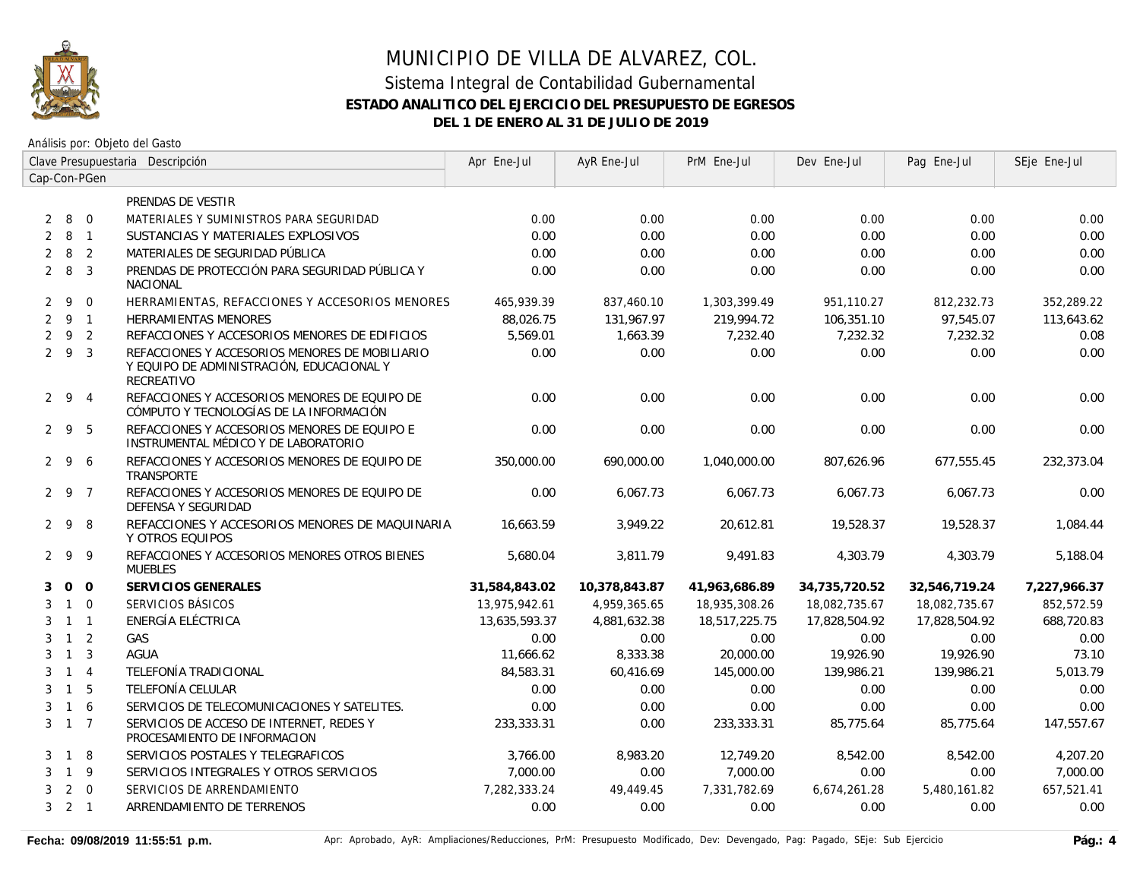

|                | Clave Presupuestaria Descripción |                |                                                                                                           | Apr Ene-Jul   | AyR Ene-Jul   | PrM Ene-Jul   | Dev Ene-Jul   | Pag Ene-Jul   | SEje Ene-Jul |
|----------------|----------------------------------|----------------|-----------------------------------------------------------------------------------------------------------|---------------|---------------|---------------|---------------|---------------|--------------|
|                |                                  | Cap-Con-PGen   |                                                                                                           |               |               |               |               |               |              |
|                |                                  |                | PRENDAS DE VESTIR                                                                                         |               |               |               |               |               |              |
| 2              |                                  | 8 0            | MATERIALES Y SUMINISTROS PARA SEGURIDAD                                                                   | 0.00          | 0.00          | 0.00          | 0.00          | 0.00          | 0.00         |
| 2              | 8 1                              |                | SUSTANCIAS Y MATERIALES EXPLOSIVOS                                                                        | 0.00          | 0.00          | 0.00          | 0.00          | 0.00          | 0.00         |
| $\overline{2}$ | 8                                | $\overline{2}$ | MATERIALES DE SEGURIDAD PÚBLICA                                                                           | 0.00          | 0.00          | 0.00          | 0.00          | 0.00          | 0.00         |
|                | $2 \quad 8$                      | $\overline{3}$ | PRENDAS DE PROTECCIÓN PARA SEGURIDAD PÚBLICA Y<br><b>NACIONAL</b>                                         | 0.00          | 0.00          | 0.00          | 0.00          | 0.00          | 0.00         |
|                | $2 \quad 9$                      | $\overline{0}$ | HERRAMIENTAS, REFACCIONES Y ACCESORIOS MENORES                                                            | 465,939.39    | 837,460.10    | 1,303,399.49  | 951,110.27    | 812,232.73    | 352,289.22   |
|                | $2 \quad 9 \quad 1$              |                | HERRAMIENTAS MENORES                                                                                      | 88,026.75     | 131,967.97    | 219,994.72    | 106,351.10    | 97,545.07     | 113,643.62   |
| $\overline{2}$ | 9 2                              |                | REFACCIONES Y ACCESORIOS MENORES DE EDIFICIOS                                                             | 5,569.01      | 1,663.39      | 7,232.40      | 7,232.32      | 7,232.32      | 0.08         |
|                | 293                              |                | REFACCIONES Y ACCESORIOS MENORES DE MOBILIARIO<br>Y EQUIPO DE ADMINISTRACIÓN, EDUCACIONAL Y<br>RECREATIVO | 0.00          | 0.00          | 0.00          | 0.00          | 0.00          | 0.00         |
|                | 294                              |                | REFACCIONES Y ACCESORIOS MENORES DE EQUIPO DE<br>CÓMPUTO Y TECNOLOGÍAS DE LA INFORMACIÓN                  | 0.00          | 0.00          | 0.00          | 0.00          | 0.00          | 0.00         |
|                | 295                              |                | REFACCIONES Y ACCESORIOS MENORES DE EQUIPO E<br>INSTRUMENTAL MÉDICO Y DE LABORATORIO                      | 0.00          | 0.00          | 0.00          | 0.00          | 0.00          | 0.00         |
|                | 296                              |                | REFACCIONES Y ACCESORIOS MENORES DE EQUIPO DE<br>TRANSPORTE                                               | 350,000.00    | 690,000.00    | 1,040,000.00  | 807,626.96    | 677,555.45    | 232,373.04   |
|                | 2 9 7                            |                | REFACCIONES Y ACCESORIOS MENORES DE EQUIPO DE<br>DEFENSA Y SEGURIDAD                                      | 0.00          | 6,067.73      | 6,067.73      | 6,067.73      | 6,067.73      | 0.00         |
|                | 298                              |                | REFACCIONES Y ACCESORIOS MENORES DE MAQUINARIA<br>Y OTROS EQUIPOS                                         | 16,663.59     | 3,949.22      | 20,612.81     | 19,528.37     | 19,528.37     | 1,084.44     |
|                | 299                              |                | REFACCIONES Y ACCESORIOS MENORES OTROS BIENES<br><b>MUEBLES</b>                                           | 5,680.04      | 3,811.79      | 9,491.83      | 4,303.79      | 4,303.79      | 5,188.04     |
| 3              | $0\quad 0$                       |                | SERVICIOS GENERALES                                                                                       | 31,584,843.02 | 10,378,843.87 | 41,963,686.89 | 34,735,720.52 | 32,546,719.24 | 7,227,966.37 |
| 3              | $1 \quad 0$                      |                | SERVICIOS BÁSICOS                                                                                         | 13,975,942.61 | 4,959,365.65  | 18,935,308.26 | 18,082,735.67 | 18,082,735.67 | 852,572.59   |
| 3              | $1 \quad 1$                      |                | ENERGÍA ELÉCTRICA                                                                                         | 13,635,593.37 | 4,881,632.38  | 18,517,225.75 | 17,828,504.92 | 17,828,504.92 | 688,720.83   |
| 3              | $1\quad 2$                       |                | GAS                                                                                                       | 0.00          | 0.00          | 0.00          | 0.00          | 0.00          | 0.00         |
| 3              | $\overline{1}$                   | $\overline{3}$ | <b>AGUA</b>                                                                                               | 11,666.62     | 8,333.38      | 20,000.00     | 19,926.90     | 19,926.90     | 73.10        |
| 3              | $\overline{1}$                   | $\overline{4}$ | TELEFONÍA TRADICIONAL                                                                                     | 84,583.31     | 60,416.69     | 145,000.00    | 139,986.21    | 139,986.21    | 5,013.79     |
| 3              | $\overline{1}$                   | 5              | TELEFONÍA CELULAR                                                                                         | 0.00          | 0.00          | 0.00          | 0.00          | 0.00          | 0.00         |
| 3              | $1\quad6$                        |                | SERVICIOS DE TELECOMUNICACIONES Y SATELITES.                                                              | 0.00          | 0.00          | 0.00          | 0.00          | 0.00          | 0.00         |
|                | $3 \quad 1 \quad 7$              |                | SERVICIOS DE ACCESO DE INTERNET, REDES Y<br>PROCESAMIENTO DE INFORMACION                                  | 233,333.31    | 0.00          | 233,333.31    | 85,775.64     | 85,775.64     | 147,557.67   |
| 3              | $\overline{1}$                   | 8              | SERVICIOS POSTALES Y TELEGRAFICOS                                                                         | 3,766.00      | 8,983.20      | 12,749.20     | 8,542.00      | 8,542.00      | 4,207.20     |
| 3              | $1 \quad 9$                      |                | SERVICIOS INTEGRALES Y OTROS SERVICIOS                                                                    | 7,000.00      | 0.00          | 7,000.00      | 0.00          | 0.00          | 7,000.00     |
| 3              |                                  | $2 \quad 0$    | SERVICIOS DE ARRENDAMIENTO                                                                                | 7,282,333.24  | 49,449.45     | 7,331,782.69  | 6,674,261.28  | 5,480,161.82  | 657,521.41   |
|                | $3 \quad 2 \quad 1$              |                | ARRENDAMIENTO DE TERRENOS                                                                                 | 0.00          | 0.00          | 0.00          | 0.00          | 0.00          | 0.00         |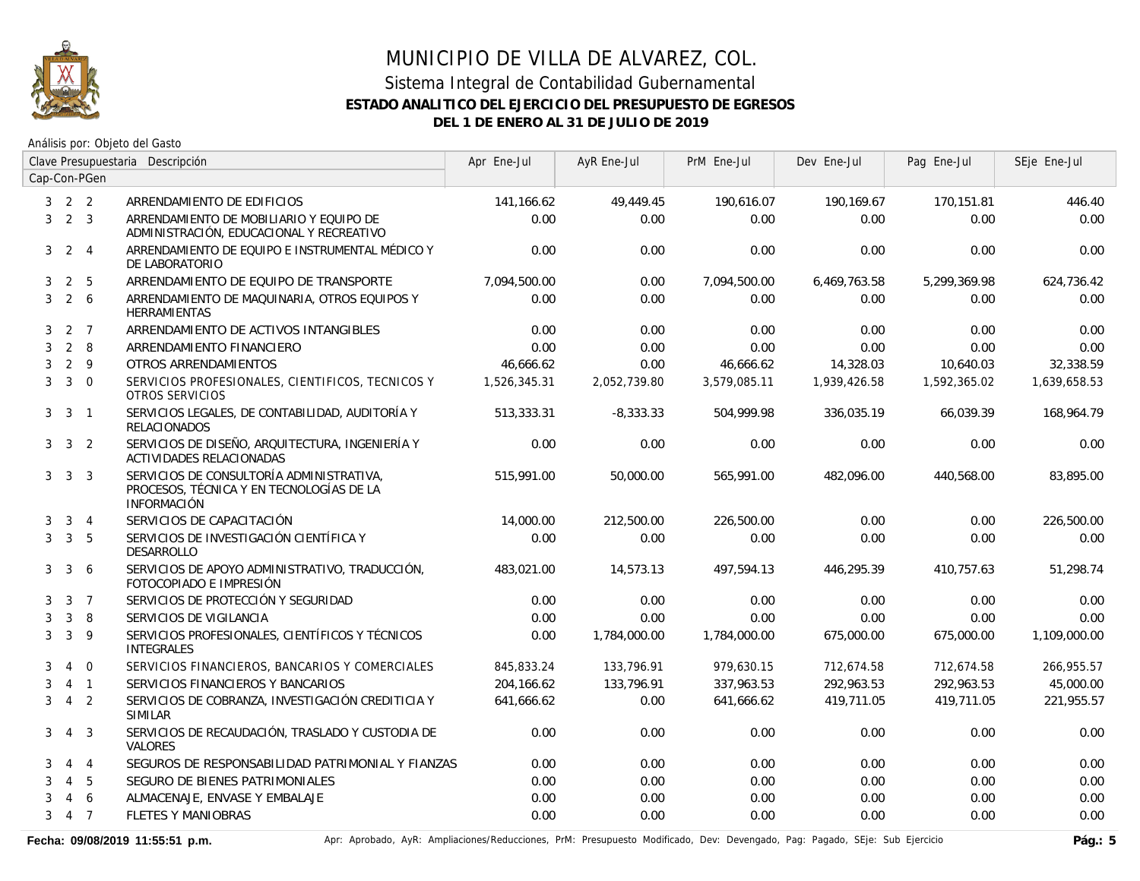

Análisis por: Objeto del Gasto

|   |                         |                | Clave Presupuestaria Descripción                                                                           | Apr Ene-Jul  | AyR Ene-Jul  | PrM Ene-Jul  | Dev Ene-Jul  | Pag Ene-Jul  | SEje Ene-Jul |
|---|-------------------------|----------------|------------------------------------------------------------------------------------------------------------|--------------|--------------|--------------|--------------|--------------|--------------|
|   |                         | Cap-Con-PGen   |                                                                                                            |              |              |              |              |              |              |
|   | $3 \quad 2 \quad 2$     |                | ARRENDAMIENTO DE EDIFICIOS                                                                                 | 141,166.62   | 49,449.45    | 190,616.07   | 190,169.67   | 170,151.81   | 446.40       |
|   | $3 \quad 2 \quad 3$     |                | ARRENDAMIENTO DE MOBILIARIO Y EQUIPO DE<br>ADMINISTRACIÓN, EDUCACIONAL Y RECREATIVO                        | 0.00         | 0.00         | 0.00         | 0.00         | 0.00         | 0.00         |
| 3 |                         | $2 \quad 4$    | ARRENDAMIENTO DE EQUIPO E INSTRUMENTAL MÉDICO Y<br>DE LABORATORIO                                          | 0.00         | 0.00         | 0.00         | 0.00         | 0.00         | 0.00         |
| 3 | $\overline{2}$          | 5              | ARRENDAMIENTO DE EQUIPO DE TRANSPORTE                                                                      | 7,094,500.00 | 0.00         | 7,094,500.00 | 6,469,763.58 | 5,299,369.98 | 624,736.42   |
| 3 |                         | 2 6            | ARRENDAMIENTO DE MAQUINARIA, OTROS EQUIPOS Y<br><b>HERRAMIENTAS</b>                                        | 0.00         | 0.00         | 0.00         | 0.00         | 0.00         | 0.00         |
| 3 |                         | 2 <sub>7</sub> | ARRENDAMIENTO DE ACTIVOS INTANGIBLES                                                                       | 0.00         | 0.00         | 0.00         | 0.00         | 0.00         | 0.00         |
| 3 | $\overline{2}$          | 8              | ARRENDAMIENTO FINANCIERO                                                                                   | 0.00         | 0.00         | 0.00         | 0.00         | 0.00         | 0.00         |
| 3 |                         | $2 \quad 9$    | OTROS ARRENDAMIENTOS                                                                                       | 46,666.62    | 0.00         | 46,666.62    | 14,328.03    | 10,640.03    | 32,338.59    |
| 3 |                         | $3 \quad 0$    | SERVICIOS PROFESIONALES, CIENTIFICOS, TECNICOS Y<br>OTROS SERVICIOS                                        | 1,526,345.31 | 2,052,739.80 | 3,579,085.11 | 1,939,426.58 | 1,592,365.02 | 1,639,658.53 |
| 3 | $\overline{\mathbf{3}}$ | $\overline{1}$ | SERVICIOS LEGALES, DE CONTABILIDAD, AUDITORÍA Y<br><b>RELACIONADOS</b>                                     | 513,333.31   | $-8,333.33$  | 504,999.98   | 336,035.19   | 66,039.39    | 168,964.79   |
|   | $3 \quad 3 \quad 2$     |                | SERVICIOS DE DISEÑO, ARQUITECTURA, INGENIERÍA Y<br>ACTIVIDADES RELACIONADAS                                | 0.00         | 0.00         | 0.00         | 0.00         | 0.00         | 0.00         |
| 3 | $\overline{3}$          | $\overline{3}$ | SERVICIOS DE CONSULTORÍA ADMINISTRATIVA,<br>PROCESOS, TÉCNICA Y EN TECNOLOGÍAS DE LA<br><b>INFORMACIÓN</b> | 515,991.00   | 50,000.00    | 565,991.00   | 482.096.00   | 440.568.00   | 83.895.00    |
| 3 |                         | $3 \quad 4$    | SERVICIOS DE CAPACITACIÓN                                                                                  | 14,000.00    | 212,500.00   | 226,500.00   | 0.00         | 0.00         | 226,500.00   |
| 3 |                         | 3 <sub>5</sub> | SERVICIOS DE INVESTIGACIÓN CIENTÍFICA Y<br><b>DESARROLLO</b>                                               | 0.00         | 0.00         | 0.00         | 0.00         | 0.00         | 0.00         |
| 3 | $\mathbf{3}$            | 6              | SERVICIOS DE APOYO ADMINISTRATIVO, TRADUCCIÓN,<br>FOTOCOPIADO E IMPRESIÓN                                  | 483,021.00   | 14,573.13    | 497,594.13   | 446,295.39   | 410,757.63   | 51,298.74    |
| 3 | $\mathbf{3}$            | $\overline{7}$ | SERVICIOS DE PROTECCIÓN Y SEGURIDAD                                                                        | 0.00         | 0.00         | 0.00         | 0.00         | 0.00         | 0.00         |
| 3 | $\mathbf{3}$            | 8              | SERVICIOS DE VIGILANCIA                                                                                    | 0.00         | 0.00         | 0.00         | 0.00         | 0.00         | 0.00         |
| 3 | 3                       | 9              | SERVICIOS PROFESIONALES, CIENTÍFICOS Y TÉCNICOS<br><b>INTEGRALES</b>                                       | 0.00         | 1,784,000.00 | 1,784,000.00 | 675,000.00   | 675,000.00   | 1,109,000.00 |
| 3 | $\overline{4}$          | $\overline{0}$ | SERVICIOS FINANCIEROS, BANCARIOS Y COMERCIALES                                                             | 845,833.24   | 133,796.91   | 979,630.15   | 712,674.58   | 712,674.58   | 266,955.57   |
| 3 |                         | $4 \quad 1$    | SERVICIOS FINANCIEROS Y BANCARIOS                                                                          | 204,166.62   | 133,796.91   | 337,963.53   | 292,963.53   | 292,963.53   | 45,000.00    |
| 3 |                         | 4 <sub>2</sub> | SERVICIOS DE COBRANZA, INVESTIGACIÓN CREDITICIA Y<br><b>SIMILAR</b>                                        | 641,666.62   | 0.00         | 641,666.62   | 419,711.05   | 419,711.05   | 221,955.57   |
| 3 | $\overline{4}$          | - 3            | SERVICIOS DE RECAUDACIÓN, TRASLADO Y CUSTODIA DE<br><b>VALORES</b>                                         | 0.00         | 0.00         | 0.00         | 0.00         | 0.00         | 0.00         |
| 3 | $\overline{4}$          | $\overline{4}$ | SEGUROS DE RESPONSABILIDAD PATRIMONIAL Y FIANZAS                                                           | 0.00         | 0.00         | 0.00         | 0.00         | 0.00         | 0.00         |
| 3 | $\overline{4}$          | 5              | SEGURO DE BIENES PATRIMONIALES                                                                             | 0.00         | 0.00         | 0.00         | 0.00         | 0.00         | 0.00         |
| 3 | 4                       | 6              | ALMACENAJE, ENVASE Y EMBALAJE                                                                              | 0.00         | 0.00         | 0.00         | 0.00         | 0.00         | 0.00         |
| 3 |                         | 4 7            | <b>FLETES Y MANIOBRAS</b>                                                                                  | 0.00         | 0.00         | 0.00         | 0.00         | 0.00         | 0.00         |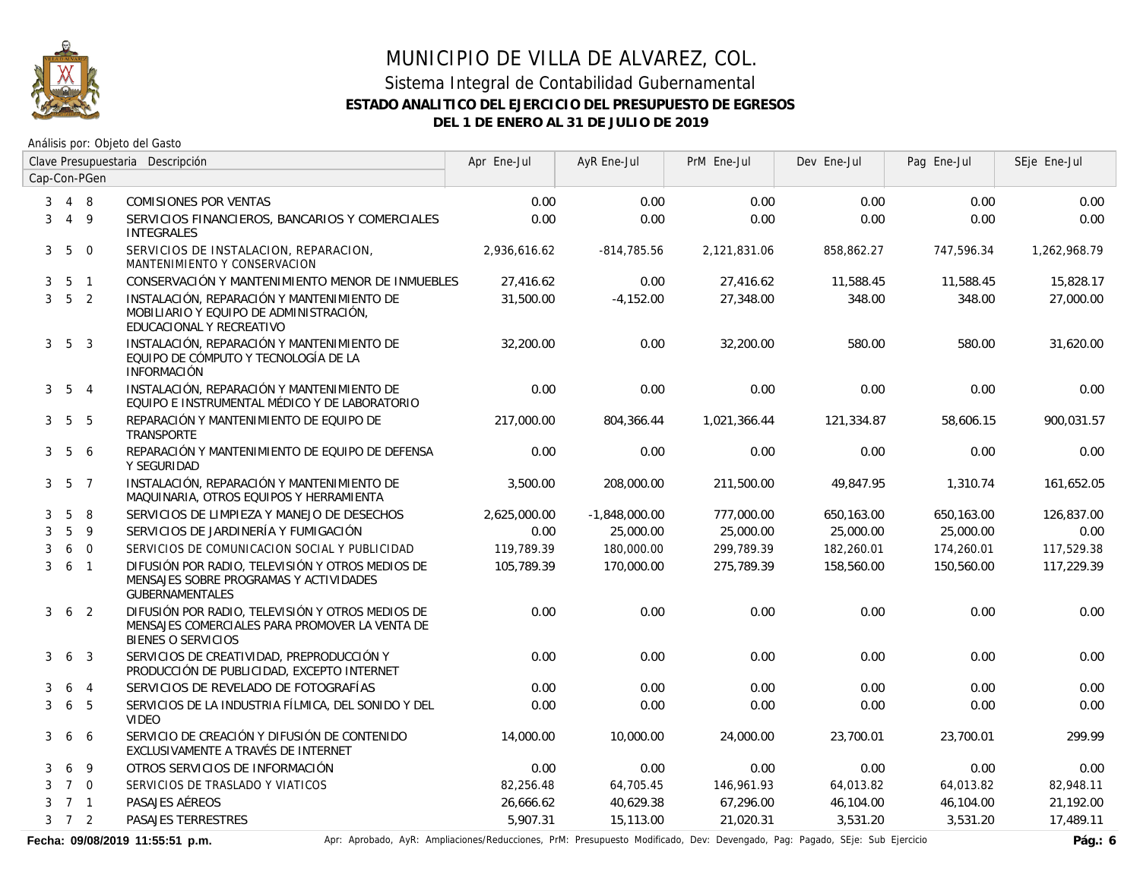

Análisis por: Objeto del Gasto

|                |                     |                 | Clave Presupuestaria Descripción                                                                                                | Apr Ene-Jul  | AyR Ene-Jul     | PrM Ene-Jul  | Dev Ene-Jul | Pag Ene-Jul | SEje Ene-Jul |
|----------------|---------------------|-----------------|---------------------------------------------------------------------------------------------------------------------------------|--------------|-----------------|--------------|-------------|-------------|--------------|
|                |                     | Cap-Con-PGen    |                                                                                                                                 |              |                 |              |             |             |              |
| 3              |                     | 4 8             | <b>COMISIONES POR VENTAS</b>                                                                                                    | 0.00         | 0.00            | 0.00         | 0.00        | 0.00        | 0.00         |
| 3              |                     | $4\overline{9}$ | SERVICIOS FINANCIEROS, BANCARIOS Y COMERCIALES<br><b>INTEGRALES</b>                                                             | 0.00         | 0.00            | 0.00         | 0.00        | 0.00        | 0.00         |
| 3 <sup>1</sup> | 5                   | $\overline{0}$  | SERVICIOS DE INSTALACION, REPARACION,<br>MANTENIMIENTO Y CONSERVACION                                                           | 2,936,616.62 | $-814,785.56$   | 2,121,831.06 | 858,862.27  | 747,596.34  | 1,262,968.79 |
| 3              |                     | 5 <sub>1</sub>  | CONSERVACIÓN Y MANTENIMIENTO MENOR DE INMUEBLES                                                                                 | 27,416.62    | 0.00            | 27,416.62    | 11,588.45   | 11,588.45   | 15,828.17    |
| $\mathbf{3}$   | 5 <sub>2</sub>      |                 | INSTALACIÓN, REPARACIÓN Y MANTENIMIENTO DE<br>MOBILIARIO Y EQUIPO DE ADMINISTRACIÓN.<br>EDUCACIONAL Y RECREATIVO                | 31,500.00    | $-4,152.00$     | 27,348.00    | 348.00      | 348.00      | 27,000.00    |
| 3              | 5 <sup>3</sup>      |                 | INSTALACIÓN, REPARACIÓN Y MANTENIMIENTO DE<br>EQUIPO DE CÓMPUTO Y TECNOLOGÍA DE LA<br><b>INFORMACIÓN</b>                        | 32,200.00    | 0.00            | 32,200.00    | 580.00      | 580.00      | 31,620.00    |
|                | $3\quad 5\quad 4$   |                 | INSTALACIÓN, REPARACIÓN Y MANTENIMIENTO DE<br>EQUIPO E INSTRUMENTAL MÉDICO Y DE LABORATORIO                                     | 0.00         | 0.00            | 0.00         | 0.00        | 0.00        | 0.00         |
| 3              |                     | 5 5             | REPARACIÓN Y MANTENIMIENTO DE EQUIPO DE<br><b>TRANSPORTE</b>                                                                    | 217,000.00   | 804,366.44      | 1,021,366.44 | 121,334.87  | 58,606.15   | 900,031.57   |
| 3              | 5                   | -6              | REPARACIÓN Y MANTENIMIENTO DE EQUIPO DE DEFENSA<br>Y SEGURIDAD                                                                  | 0.00         | 0.00            | 0.00         | 0.00        | 0.00        | 0.00         |
|                | $3\quad 5\quad 7$   |                 | INSTALACIÓN, REPARACIÓN Y MANTENIMIENTO DE<br>MAQUINARIA, OTROS EQUIPOS Y HERRAMIENTA                                           | 3,500.00     | 208,000.00      | 211,500.00   | 49.847.95   | 1,310.74    | 161,652.05   |
| 3              | 5                   | 8               | SERVICIOS DE LIMPIEZA Y MANEJO DE DESECHOS                                                                                      | 2,625,000.00 | $-1,848,000.00$ | 777,000.00   | 650,163.00  | 650,163.00  | 126,837.00   |
| 3              | 5                   | $\overline{9}$  | SERVICIOS DE JARDINERÍA Y FUMIGACIÓN                                                                                            | 0.00         | 25,000.00       | 25,000.00    | 25,000.00   | 25,000.00   | 0.00         |
| 3              |                     | 6 0             | SERVICIOS DE COMUNICACION SOCIAL Y PUBLICIDAD                                                                                   | 119,789.39   | 180,000.00      | 299,789.39   | 182,260.01  | 174,260.01  | 117,529.38   |
| 3              | $6-1$               |                 | DIFUSIÓN POR RADIO, TELEVISIÓN Y OTROS MEDIOS DE<br>MENSAJES SOBRE PROGRAMAS Y ACTIVIDADES<br><b>GUBERNAMENTALES</b>            | 105.789.39   | 170,000.00      | 275,789.39   | 158,560.00  | 150,560.00  | 117,229.39   |
| 3              |                     | 6 <sub>2</sub>  | DIFUSIÓN POR RADIO, TELEVISIÓN Y OTROS MEDIOS DE<br>MENSAJES COMERCIALES PARA PROMOVER LA VENTA DE<br><b>BIENES O SERVICIOS</b> | 0.00         | 0.00            | 0.00         | 0.00        | 0.00        | 0.00         |
| 3              | 6                   | $\overline{3}$  | SERVICIOS DE CREATIVIDAD, PREPRODUCCIÓN Y<br>PRODUCCIÓN DE PUBLICIDAD, EXCEPTO INTERNET                                         | 0.00         | 0.00            | 0.00         | 0.00        | 0.00        | 0.00         |
| 3              | 6                   | $\overline{4}$  | SERVICIOS DE REVELADO DE FOTOGRAFÍAS                                                                                            | 0.00         | 0.00            | 0.00         | 0.00        | 0.00        | 0.00         |
| 3              | 6                   | 5               | SERVICIOS DE LA INDUSTRIA FÍLMICA, DEL SONIDO Y DEL<br><b>VIDEO</b>                                                             | 0.00         | 0.00            | 0.00         | 0.00        | 0.00        | 0.00         |
| 3              | 6                   | 6               | SERVICIO DE CREACIÓN Y DIFUSIÓN DE CONTENIDO<br>EXCLUSIVAMENTE A TRAVÉS DE INTERNET                                             | 14,000.00    | 10,000.00       | 24,000.00    | 23,700.01   | 23,700.01   | 299.99       |
| 3              | 6                   | 9               | OTROS SERVICIOS DE INFORMACIÓN                                                                                                  | 0.00         | 0.00            | 0.00         | 0.00        | 0.00        | 0.00         |
| 3              |                     | $7\quad0$       | SERVICIOS DE TRASLADO Y VIATICOS                                                                                                | 82,256.48    | 64,705.45       | 146,961.93   | 64,013.82   | 64,013.82   | 82,948.11    |
| 3              | 7 <sub>1</sub>      |                 | PASAJES AÉREOS                                                                                                                  | 26,666.62    | 40,629.38       | 67,296.00    | 46,104.00   | 46,104.00   | 21,192.00    |
|                | $3 \quad 7 \quad 2$ |                 | <b>PASAJES TERRESTRES</b>                                                                                                       | 5.907.31     | 15,113.00       | 21,020.31    | 3,531.20    | 3,531.20    | 17,489.11    |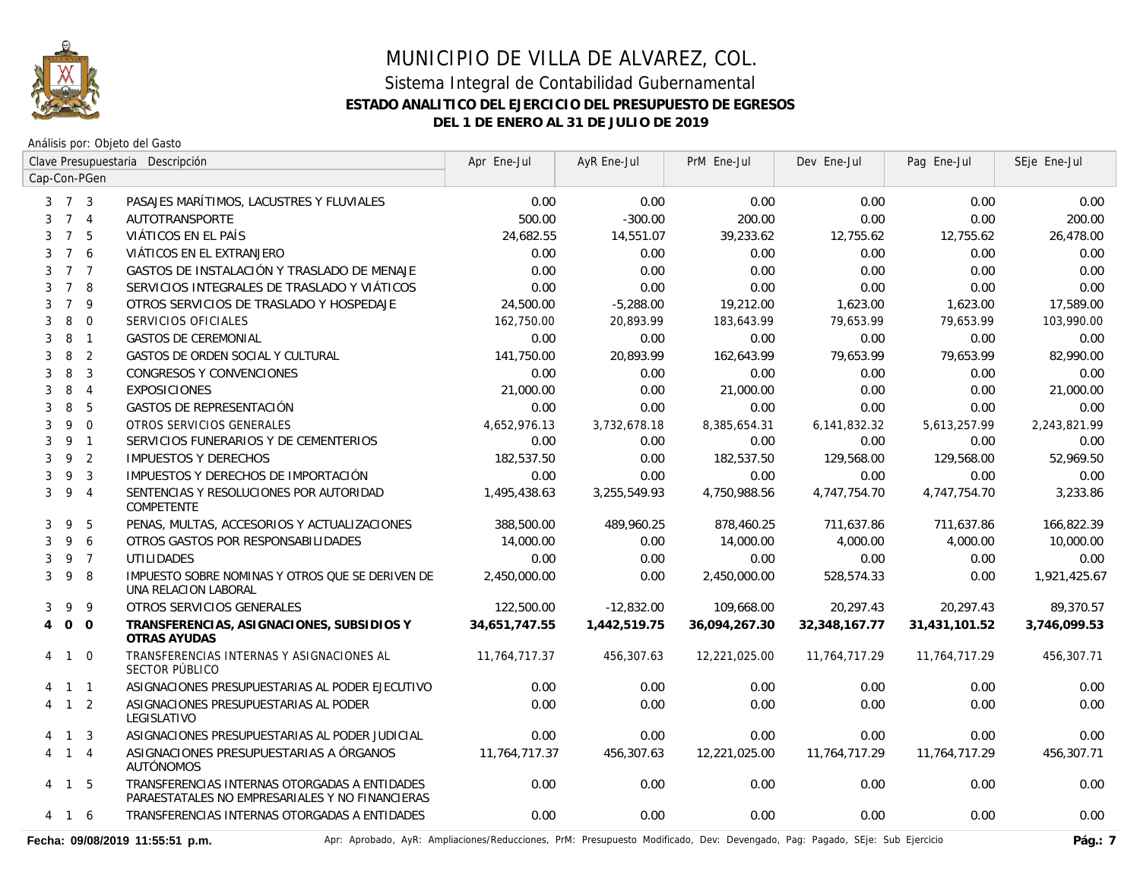

Análisis por: Objeto del Gasto

|                     |                |                | Clave Presupuestaria Descripción                                                                 | Apr Ene-Jul   | AyR Ene-Jul  | PrM Ene-Jul   | Dev Ene-Jul   | Pag Ene-Jul   | SEje Ene-Jul |
|---------------------|----------------|----------------|--------------------------------------------------------------------------------------------------|---------------|--------------|---------------|---------------|---------------|--------------|
| Cap-Con-PGen        |                |                |                                                                                                  |               |              |               |               |               |              |
| $3 \quad 7 \quad 3$ |                |                | PASAJES MARÍTIMOS, LACUSTRES Y FLUVIALES                                                         | 0.00          | 0.00         | 0.00          | 0.00          | 0.00          | 0.00         |
| 3                   | 7 <sub>4</sub> |                | AUTOTRANSPORTE                                                                                   | 500.00        | $-300.00$    | 200.00        | 0.00          | 0.00          | 200.00       |
| 3                   | $7^{\circ}$    | 5              | VIÁTICOS EN EL PAÍS                                                                              | 24,682.55     | 14,551.07    | 39,233.62     | 12,755.62     | 12,755.62     | 26,478.00    |
| 3                   | $\overline{7}$ | 6              | VIÁTICOS EN EL EXTRANJERO                                                                        | 0.00          | 0.00         | 0.00          | 0.00          | 0.00          | 0.00         |
| 3                   | 7 <sub>7</sub> |                | GASTOS DE INSTALACIÓN Y TRASLADO DE MENAJE                                                       | 0.00          | 0.00         | 0.00          | 0.00          | 0.00          | 0.00         |
| 3                   | $7^{\circ}$    | 8              | SERVICIOS INTEGRALES DE TRASLADO Y VIÁTICOS                                                      | 0.00          | 0.00         | 0.00          | 0.00          | 0.00          | 0.00         |
| 3                   | $\overline{7}$ | 9              | OTROS SERVICIOS DE TRASLADO Y HOSPEDAJE                                                          | 24,500.00     | $-5,288.00$  | 19,212.00     | 1,623.00      | 1,623.00      | 17,589.00    |
| 3                   | 8              | $\overline{0}$ | SERVICIOS OFICIALES                                                                              | 162,750.00    | 20,893.99    | 183,643.99    | 79,653.99     | 79,653.99     | 103,990.00   |
| 3                   | 8              | $\overline{1}$ | <b>GASTOS DE CEREMONIAL</b>                                                                      | 0.00          | 0.00         | 0.00          | 0.00          | 0.00          | 0.00         |
| 3                   | 8              | $\overline{2}$ | GASTOS DE ORDEN SOCIAL Y CULTURAL                                                                | 141,750.00    | 20,893.99    | 162,643.99    | 79,653.99     | 79,653.99     | 82,990.00    |
| 3                   | 8              | $\overline{3}$ | CONGRESOS Y CONVENCIONES                                                                         | 0.00          | 0.00         | 0.00          | 0.00          | 0.00          | 0.00         |
| 3                   | 8              | $\overline{4}$ | <b>EXPOSICIONES</b>                                                                              | 21,000.00     | 0.00         | 21,000.00     | 0.00          | 0.00          | 21,000.00    |
| 3                   | 8              | 5              | <b>GASTOS DE REPRESENTACIÓN</b>                                                                  | 0.00          | 0.00         | 0.00          | 0.00          | 0.00          | 0.00         |
| 3                   | 9              | $\mathbf{0}$   | OTROS SERVICIOS GENERALES                                                                        | 4,652,976.13  | 3,732,678.18 | 8,385,654.31  | 6,141,832.32  | 5,613,257.99  | 2,243,821.99 |
| 3                   | 9 1            |                | SERVICIOS FUNERARIOS Y DE CEMENTERIOS                                                            | 0.00          | 0.00         | 0.00          | 0.00          | 0.00          | 0.00         |
| 3                   | 9              | $\overline{2}$ | <b>IMPUESTOS Y DERECHOS</b>                                                                      | 182,537.50    | 0.00         | 182,537.50    | 129,568.00    | 129,568.00    | 52,969.50    |
| 3                   | 9              | $\overline{3}$ | IMPUESTOS Y DERECHOS DE IMPORTACIÓN                                                              | 0.00          | 0.00         | 0.00          | 0.00          | 0.00          | 0.00         |
| 3                   | 9              | $\overline{4}$ | SENTENCIAS Y RESOLUCIONES POR AUTORIDAD<br><b>COMPETENTE</b>                                     | 1,495,438.63  | 3,255,549.93 | 4,750,988.56  | 4,747,754.70  | 4,747,754.70  | 3,233.86     |
| 3                   | 9              | 5              | PENAS, MULTAS, ACCESORIOS Y ACTUALIZACIONES                                                      | 388,500.00    | 489,960.25   | 878,460.25    | 711,637.86    | 711,637.86    | 166,822.39   |
| 3                   | 9              | 6              | OTROS GASTOS POR RESPONSABILIDADES                                                               | 14,000.00     | 0.00         | 14,000.00     | 4,000.00      | 4,000.00      | 10,000.00    |
| 3                   | 9 7            |                | <b>UTILIDADES</b>                                                                                | 0.00          | 0.00         | 0.00          | 0.00          | 0.00          | 0.00         |
| 3                   | 9              | -8             | IMPUESTO SOBRE NOMINAS Y OTROS QUE SE DERIVEN DE<br>UNA RELACION LABORAL                         | 2,450,000.00  | 0.00         | 2,450,000.00  | 528,574.33    | 0.00          | 1,921,425.67 |
| 3                   | 9              | 9              | OTROS SERVICIOS GENERALES                                                                        | 122,500.00    | $-12,832.00$ | 109,668.00    | 20,297.43     | 20,297.43     | 89,370.57    |
| $\overline{4}$      | $0\quad 0$     |                | TRANSFERENCIAS, ASIGNACIONES, SUBSIDIOS Y<br>OTRAS AYUDAS                                        | 34,651,747.55 | 1,442,519.75 | 36,094,267.30 | 32,348,167.77 | 31,431,101.52 | 3,746,099.53 |
| 4 1                 |                | $\Omega$       | TRANSFERENCIAS INTERNAS Y ASIGNACIONES AL<br>SECTOR PÚBLICO                                      | 11,764,717.37 | 456,307.63   | 12,221,025.00 | 11,764,717.29 | 11,764,717.29 | 456,307.71   |
| 4 1 1               |                |                | ASIGNACIONES PRESUPUESTARIAS AL PODER EJECUTIVO                                                  | 0.00          | 0.00         | 0.00          | 0.00          | 0.00          | 0.00         |
| 4 1 2               |                |                | ASIGNACIONES PRESUPUESTARIAS AL PODER<br>LEGISLATIVO                                             | 0.00          | 0.00         | 0.00          | 0.00          | 0.00          | 0.00         |
| 4                   | $1 \quad 3$    |                | ASIGNACIONES PRESUPUESTARIAS AL PODER JUDICIAL                                                   | 0.00          | 0.00         | 0.00          | 0.00          | 0.00          | 0.00         |
| 4 1 4               |                |                | ASIGNACIONES PRESUPUESTARIAS A ÓRGANOS<br><b>AUTÓNOMOS</b>                                       | 11.764.717.37 | 456,307.63   | 12,221,025.00 | 11.764.717.29 | 11,764,717.29 | 456,307.71   |
| 4                   | $1\quad 5$     |                | TRANSFERENCIAS INTERNAS OTORGADAS A ENTIDADES<br>PARAESTATALES NO EMPRESARIALES Y NO FINANCIERAS | 0.00          | 0.00         | 0.00          | 0.00          | 0.00          | 0.00         |
| 4                   | $\overline{1}$ | -6             | TRANSFERENCIAS INTERNAS OTORGADAS A ENTIDADES                                                    | 0.00          | 0.00         | 0.00          | 0.00          | 0.00          | 0.00         |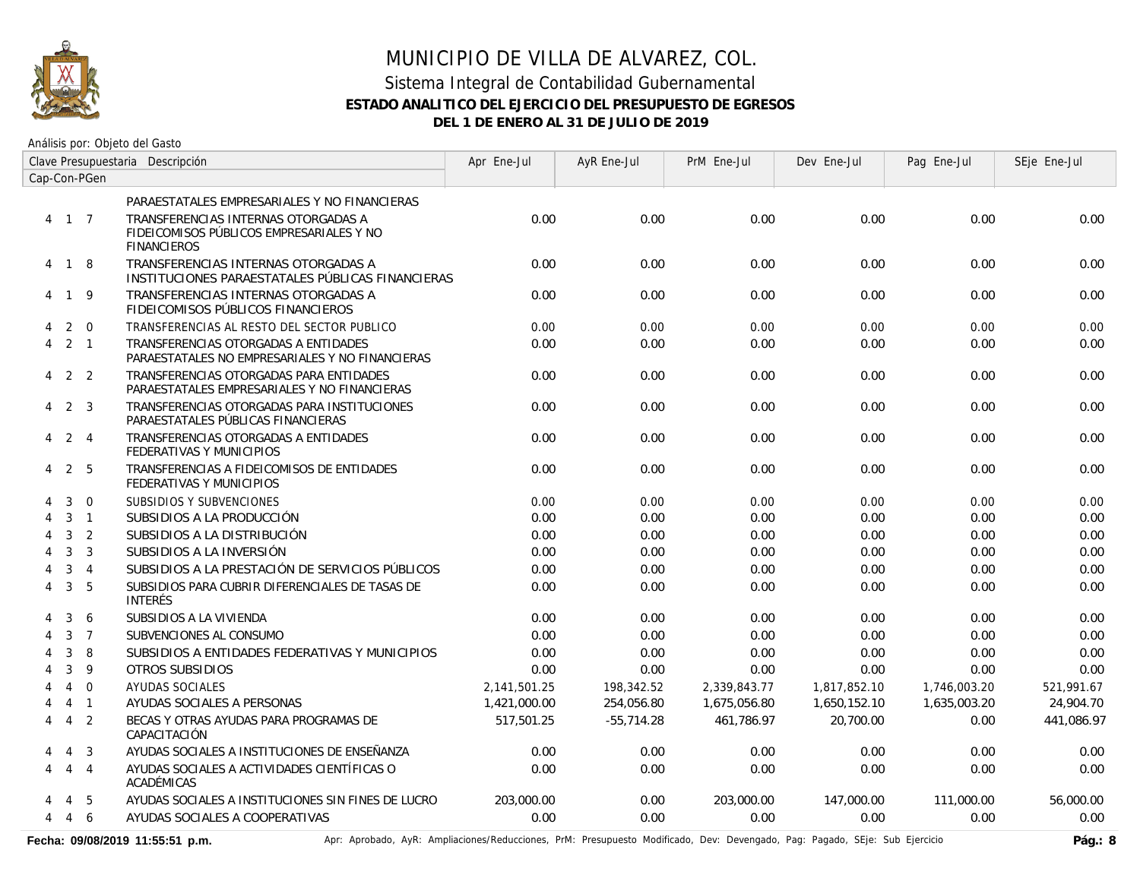

Análisis por: Objeto del Gasto

|              | Clave Presupuestaria Descripción |                |                                                                                                       | Apr Ene-Jul  | AyR Ene-Jul  | PrM Ene-Jul  | Dev Ene-Jul  | Pag Ene-Jul  | SEje Ene-Jul |
|--------------|----------------------------------|----------------|-------------------------------------------------------------------------------------------------------|--------------|--------------|--------------|--------------|--------------|--------------|
| Cap-Con-PGen |                                  |                |                                                                                                       |              |              |              |              |              |              |
|              |                                  |                | PARAESTATALES EMPRESARIALES Y NO FINANCIERAS                                                          |              |              |              |              |              |              |
| 4 1 7        |                                  |                | TRANSFERENCIAS INTERNAS OTORGADAS A<br>FIDEICOMISOS PÚBLICOS EMPRESARIALES Y NO<br><b>FINANCIEROS</b> | 0.00         | 0.00         | 0.00         | 0.00         | 0.00         | 0.00         |
| 4 1 8        |                                  |                | TRANSFERENCIAS INTERNAS OTORGADAS A<br>INSTITUCIONES PARAESTATALES PÚBLICAS FINANCIERAS               | 0.00         | 0.00         | 0.00         | 0.00         | 0.00         | 0.00         |
| 4            | $\mathbf{1}$                     | - 9            | TRANSFERENCIAS INTERNAS OTORGADAS A<br>FIDEICOMISOS PÚBLICOS FINANCIEROS                              | 0.00         | 0.00         | 0.00         | 0.00         | 0.00         | 0.00         |
| 4            | 2                                | $\overline{0}$ | TRANSFERENCIAS AL RESTO DEL SECTOR PUBLICO                                                            | 0.00         | 0.00         | 0.00         | 0.00         | 0.00         | 0.00         |
| 4            | 2 <sub>1</sub>                   |                | TRANSFERENCIAS OTORGADAS A ENTIDADES<br>PARAESTATALES NO EMPRESARIALES Y NO FINANCIERAS               | 0.00         | 0.00         | 0.00         | 0.00         | 0.00         | 0.00         |
| 4            |                                  | 2 <sub>2</sub> | TRANSFERENCIAS OTORGADAS PARA ENTIDADES<br>PARAESTATALES EMPRESARIALES Y NO FINANCIERAS               | 0.00         | 0.00         | 0.00         | 0.00         | 0.00         | 0.00         |
| 4            |                                  | 2 <sub>3</sub> | TRANSFERENCIAS OTORGADAS PARA INSTITUCIONES<br>PARAESTATALES PÚBLICAS FINANCIERAS                     | 0.00         | 0.00         | 0.00         | 0.00         | 0.00         | 0.00         |
| 4            | $2 \quad 4$                      |                | TRANSFERENCIAS OTORGADAS A ENTIDADES<br>FEDERATIVAS Y MUNICIPIOS                                      | 0.00         | 0.00         | 0.00         | 0.00         | 0.00         | 0.00         |
| 4            |                                  | 2 5            | TRANSFERENCIAS A FIDEICOMISOS DE ENTIDADES<br>FEDERATIVAS Y MUNICIPIOS                                | 0.00         | 0.00         | 0.00         | 0.00         | 0.00         | 0.00         |
|              | 3                                | $\mathbf 0$    | SUBSIDIOS Y SUBVENCIONES                                                                              | 0.00         | 0.00         | 0.00         | 0.00         | 0.00         | 0.00         |
|              | 3                                | $\overline{1}$ | SUBSIDIOS A LA PRODUCCIÓN                                                                             | 0.00         | 0.00         | 0.00         | 0.00         | 0.00         | 0.00         |
| 4            | 3                                | 2              | SUBSIDIOS A LA DISTRIBUCIÓN                                                                           | 0.00         | 0.00         | 0.00         | 0.00         | 0.00         | 0.00         |
| 4            | 3                                | $\overline{3}$ | SUBSIDIOS A LA INVERSIÓN                                                                              | 0.00         | 0.00         | 0.00         | 0.00         | 0.00         | 0.00         |
|              | 3                                | $\overline{4}$ | SUBSIDIOS A LA PRESTACIÓN DE SERVICIOS PÚBLICOS                                                       | 0.00         | 0.00         | 0.00         | 0.00         | 0.00         | 0.00         |
| 4            | 3                                | 5              | SUBSIDIOS PARA CUBRIR DIFERENCIALES DE TASAS DE<br><b>INTERÉS</b>                                     | 0.00         | 0.00         | 0.00         | 0.00         | 0.00         | 0.00         |
|              | 3                                | 6              | SUBSIDIOS A LA VIVIENDA                                                                               | 0.00         | 0.00         | 0.00         | 0.00         | 0.00         | 0.00         |
|              | 3                                | $\overline{7}$ | SUBVENCIONES AL CONSUMO                                                                               | 0.00         | 0.00         | 0.00         | 0.00         | 0.00         | 0.00         |
|              | 3                                | 8              | SUBSIDIOS A ENTIDADES FEDERATIVAS Y MUNICIPIOS                                                        | 0.00         | 0.00         | 0.00         | 0.00         | 0.00         | 0.00         |
| 4            | 3                                | 9              | OTROS SUBSIDIOS                                                                                       | 0.00         | 0.00         | 0.00         | 0.00         | 0.00         | 0.00         |
|              | $\overline{4}$                   | $\overline{0}$ | AYUDAS SOCIALES                                                                                       | 2,141,501.25 | 198,342.52   | 2,339,843.77 | 1,817,852.10 | 1,746,003.20 | 521,991.67   |
|              | $\overline{4}$                   | $\overline{1}$ | AYUDAS SOCIALES A PERSONAS                                                                            | 1,421,000.00 | 254,056.80   | 1,675,056.80 | 1,650,152.10 | 1,635,003.20 | 24,904.70    |
| 4            | $\overline{4}$                   | 2              | BECAS Y OTRAS AYUDAS PARA PROGRAMAS DE<br>CAPACITACIÓN                                                | 517,501.25   | $-55,714.28$ | 461.786.97   | 20,700.00    | 0.00         | 441,086.97   |
|              | $\overline{4}$                   | 3              | AYUDAS SOCIALES A INSTITUCIONES DE ENSEÑANZA                                                          | 0.00         | 0.00         | 0.00         | 0.00         | 0.00         | 0.00         |
| 4            | $4 \quad 4$                      |                | AYUDAS SOCIALES A ACTIVIDADES CIENTÍFICAS O<br>ACADÉMICAS                                             | 0.00         | 0.00         | 0.00         | 0.00         | 0.00         | 0.00         |
|              | 4                                | -5             | AYUDAS SOCIALES A INSTITUCIONES SIN FINES DE LUCRO                                                    | 203,000.00   | 0.00         | 203,000.00   | 147,000.00   | 111,000.00   | 56,000.00    |
| 4            | 4                                | 6              | AYUDAS SOCIALES A COOPERATIVAS                                                                        | 0.00         | 0.00         | 0.00         | 0.00         | 0.00         | 0.00         |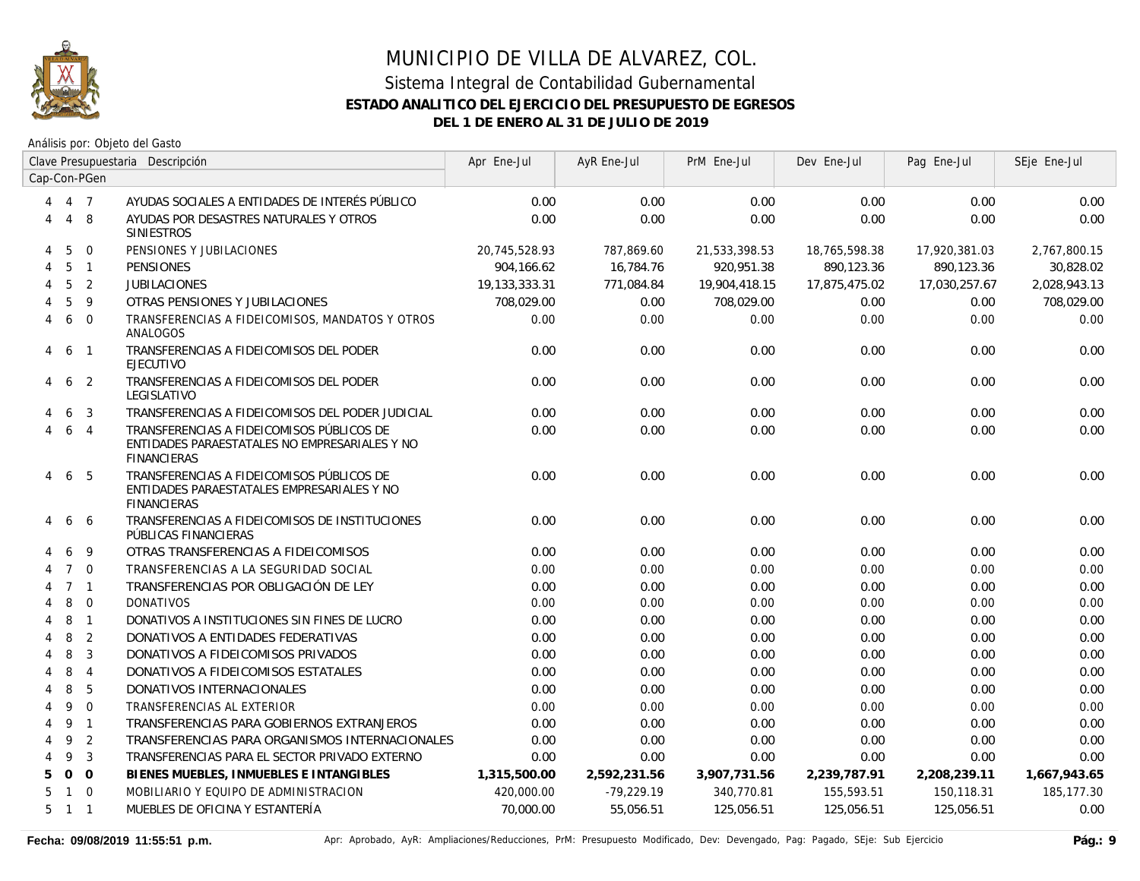

|   |                     |                  | Clave Presupuestaria Descripción                                                                                 | Apr Ene-Jul   | AyR Ene-Jul  | PrM Ene-Jul   | Dev Ene-Jul   | Pag Ene-Jul   | SEje Ene-Jul |
|---|---------------------|------------------|------------------------------------------------------------------------------------------------------------------|---------------|--------------|---------------|---------------|---------------|--------------|
|   |                     | Cap-Con-PGen     |                                                                                                                  |               |              |               |               |               |              |
| 4 |                     | 4 7              | AYUDAS SOCIALES A ENTIDADES DE INTERÉS PÚBLICO                                                                   | 0.00          | 0.00         | 0.00          | 0.00          | 0.00          | 0.00         |
| 4 | $\overline{4}$      | 8                | AYUDAS POR DESASTRES NATURALES Y OTROS<br><b>SINIESTROS</b>                                                      | 0.00          | 0.00         | 0.00          | 0.00          | 0.00          | 0.00         |
| 4 | 5                   | $\mathbf 0$      | PENSIONES Y JUBILACIONES                                                                                         | 20,745,528.93 | 787,869.60   | 21,533,398.53 | 18,765,598.38 | 17,920,381.03 | 2,767,800.15 |
| 4 | 5                   | $\overline{1}$   | <b>PENSIONES</b>                                                                                                 | 904,166.62    | 16,784.76    | 920,951.38    | 890,123.36    | 890,123.36    | 30,828.02    |
| 4 | 5                   | 2                | <b>JUBILACIONES</b>                                                                                              | 19,133,333.31 | 771,084.84   | 19,904,418.15 | 17,875,475.02 | 17,030,257.67 | 2,028,943.13 |
|   | 5                   | 9                | OTRAS PENSIONES Y JUBILACIONES                                                                                   | 708,029.00    | 0.00         | 708,029.00    | 0.00          | 0.00          | 708,029.00   |
| 4 | 6                   | $\overline{0}$   | TRANSFERENCIAS A FIDEICOMISOS, MANDATOS Y OTROS<br>ANALOGOS                                                      | 0.00          | 0.00         | 0.00          | 0.00          | 0.00          | 0.00         |
| 4 | 6                   | $\overline{1}$   | TRANSFERENCIAS A FIDEICOMISOS DEL PODER<br><b>EJECUTIVO</b>                                                      | 0.00          | 0.00         | 0.00          | 0.00          | 0.00          | 0.00         |
| 4 | 6                   | $\overline{2}$   | TRANSFERENCIAS A FIDEICOMISOS DEL PODER<br>LEGISLATIVO                                                           | 0.00          | 0.00         | 0.00          | 0.00          | 0.00          | 0.00         |
|   | 6                   | 3                | TRANSFERENCIAS A FIDEICOMISOS DEL PODER JUDICIAL                                                                 | 0.00          | 0.00         | 0.00          | 0.00          | 0.00          | 0.00         |
|   | 6                   | $\overline{4}$   | TRANSFERENCIAS A FIDEICOMISOS PÚBLICOS DE<br>ENTIDADES PARAESTATALES NO EMPRESARIALES Y NO<br><b>FINANCIERAS</b> | 0.00          | 0.00         | 0.00          | 0.00          | 0.00          | 0.00         |
| 4 | 6                   | -5               | TRANSFERENCIAS A FIDEICOMISOS PÚBLICOS DE<br>ENTIDADES PARAESTATALES EMPRESARIALES Y NO<br><b>FINANCIERAS</b>    | 0.00          | 0.00         | 0.00          | 0.00          | 0.00          | 0.00         |
| 4 | 6                   | -6               | TRANSFERENCIAS A FIDEICOMISOS DE INSTITUCIONES<br>PÚBLICAS FINANCIERAS                                           | 0.00          | 0.00         | 0.00          | 0.00          | 0.00          | 0.00         |
|   | 6                   | 9                | OTRAS TRANSFERENCIAS A FIDEICOMISOS                                                                              | 0.00          | 0.00         | 0.00          | 0.00          | 0.00          | 0.00         |
| 4 | $7^{\circ}$         | $\Omega$         | TRANSFERENCIAS A LA SEGURIDAD SOCIAL                                                                             | 0.00          | 0.00         | 0.00          | 0.00          | 0.00          | 0.00         |
|   |                     | 7 <sub>1</sub>   | TRANSFERENCIAS POR OBLIGACIÓN DE LEY                                                                             | 0.00          | 0.00         | 0.00          | 0.00          | 0.00          | 0.00         |
|   | 8                   | $\overline{0}$   | <b>DONATIVOS</b>                                                                                                 | 0.00          | 0.00         | 0.00          | 0.00          | 0.00          | 0.00         |
|   | 8                   | $\overline{1}$   | DONATIVOS A INSTITUCIONES SIN FINES DE LUCRO                                                                     | 0.00          | 0.00         | 0.00          | 0.00          | 0.00          | 0.00         |
|   | 8                   | 2                | DONATIVOS A ENTIDADES FEDERATIVAS                                                                                | 0.00          | 0.00         | 0.00          | 0.00          | 0.00          | 0.00         |
|   | 8                   | 3                | DONATIVOS A FIDEICOMISOS PRIVADOS                                                                                | 0.00          | 0.00         | 0.00          | 0.00          | 0.00          | 0.00         |
| 4 | 8                   | $\overline{4}$   | DONATIVOS A FIDEICOMISOS ESTATALES                                                                               | 0.00          | 0.00         | 0.00          | 0.00          | 0.00          | 0.00         |
|   | 8                   | 5                | DONATIVOS INTERNACIONALES                                                                                        | 0.00          | 0.00         | 0.00          | 0.00          | 0.00          | 0.00         |
|   | 9                   | $\boldsymbol{0}$ | TRANSFERENCIAS AL EXTERIOR                                                                                       | 0.00          | 0.00         | 0.00          | 0.00          | 0.00          | 0.00         |
| 4 | 9                   | $\overline{1}$   | TRANSFERENCIAS PARA GOBIERNOS EXTRANJEROS                                                                        | 0.00          | 0.00         | 0.00          | 0.00          | 0.00          | 0.00         |
| 4 | 9                   | 2                | TRANSFERENCIAS PARA ORGANISMOS INTERNACIONALES                                                                   | 0.00          | 0.00         | 0.00          | 0.00          | 0.00          | 0.00         |
| 4 | 9                   | $\overline{3}$   | TRANSFERENCIAS PARA EL SECTOR PRIVADO EXTERNO                                                                    | 0.00          | 0.00         | 0.00          | 0.00          | 0.00          | 0.00         |
| 5 | $\Omega$            | $\Omega$         | BIENES MUEBLES, INMUEBLES E INTANGIBLES                                                                          | 1,315,500.00  | 2,592,231.56 | 3,907,731.56  | 2,239,787.91  | 2,208,239.11  | 1,667,943.65 |
| 5 |                     | $1 \quad 0$      | MOBILIARIO Y EQUIPO DE ADMINISTRACION                                                                            | 420,000.00    | $-79,229.19$ | 340,770.81    | 155,593.51    | 150,118.31    | 185,177.30   |
|   | $5 \quad 1 \quad 1$ |                  | MUEBLES DE OFICINA Y ESTANTERÍA                                                                                  | 70,000.00     | 55,056.51    | 125,056.51    | 125,056.51    | 125,056.51    | 0.00         |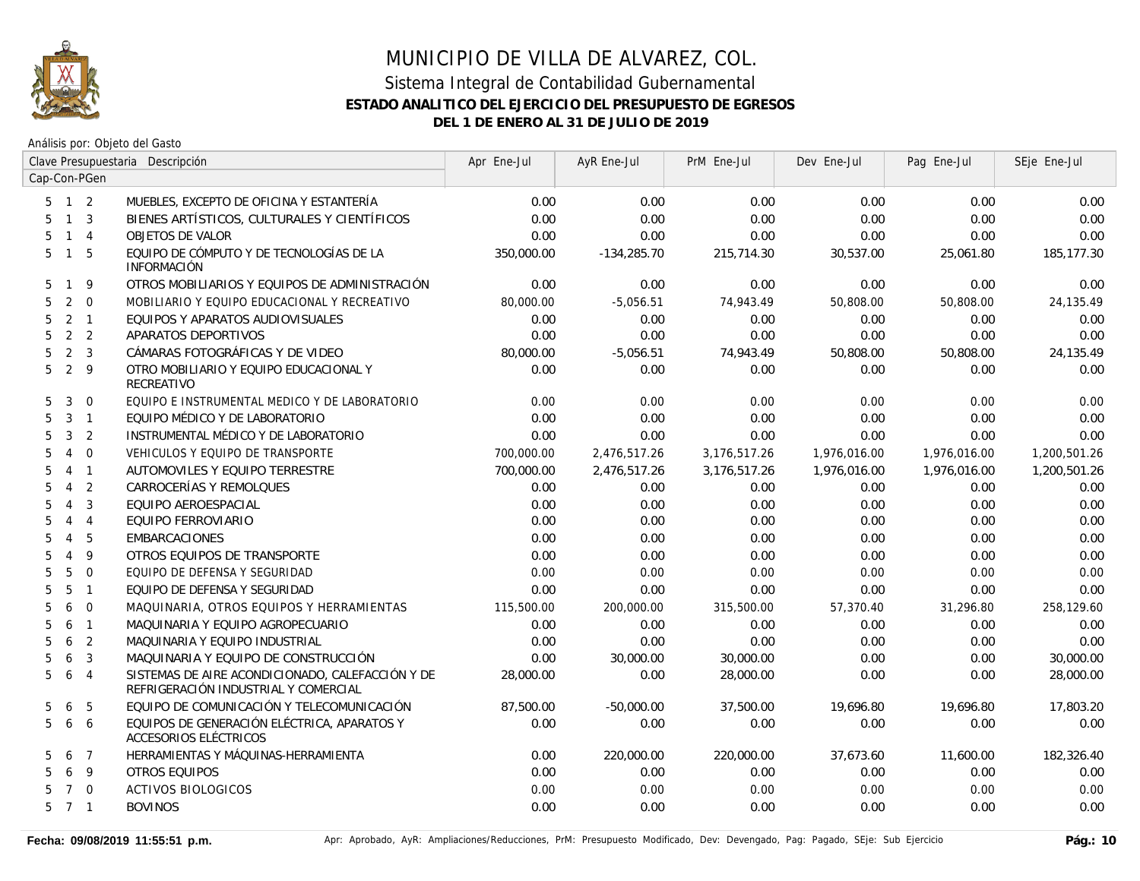

|                     |                |                         | Clave Presupuestaria Descripción                                                         | Apr Ene-Jul | AyR Ene-Jul   | PrM Ene-Jul  | Dev Ene-Jul  | Pag Ene-Jul  | SEje Ene-Jul |
|---------------------|----------------|-------------------------|------------------------------------------------------------------------------------------|-------------|---------------|--------------|--------------|--------------|--------------|
| Cap-Con-PGen        |                |                         |                                                                                          |             |               |              |              |              |              |
| $5 \quad 1 \quad 2$ |                |                         | MUEBLES, EXCEPTO DE OFICINA Y ESTANTERÍA                                                 | 0.00        | 0.00          | 0.00         | 0.00         | 0.00         | 0.00         |
| 5                   | $\mathbf{1}$   | $\overline{3}$          | BIENES ARTÍSTICOS, CULTURALES Y CIENTÍFICOS                                              | 0.00        | 0.00          | 0.00         | 0.00         | 0.00         | 0.00         |
| 5                   | $\mathbf{1}$   | $\overline{4}$          | <b>OBJETOS DE VALOR</b>                                                                  | 0.00        | 0.00          | 0.00         | 0.00         | 0.00         | 0.00         |
| 5                   | $\mathbf{1}$   | 5                       | EQUIPO DE CÓMPUTO Y DE TECNOLOGÍAS DE LA<br><b>INFORMACIÓN</b>                           | 350,000.00  | $-134,285.70$ | 215,714.30   | 30,537.00    | 25,061.80    | 185,177.30   |
| 5<br>$\mathbf{1}$   |                | 9                       | OTROS MOBILIARIOS Y EQUIPOS DE ADMINISTRACIÓN                                            | 0.00        | 0.00          | 0.00         | 0.00         | 0.00         | 0.00         |
| 5                   | 2              | $\Omega$                | MOBILIARIO Y EQUIPO EDUCACIONAL Y RECREATIVO                                             | 80,000.00   | $-5,056.51$   | 74,943.49    | 50,808.00    | 50,808.00    | 24,135.49    |
| 5                   | 2              | $\overline{1}$          | EQUIPOS Y APARATOS AUDIOVISUALES                                                         | 0.00        | 0.00          | 0.00         | 0.00         | 0.00         | 0.00         |
| 5                   |                | 2 <sup>2</sup>          | APARATOS DEPORTIVOS                                                                      | 0.00        | 0.00          | 0.00         | 0.00         | 0.00         | 0.00         |
| 5                   | 2              | $\overline{\mathbf{3}}$ | CÁMARAS FOTOGRÁFICAS Y DE VIDEO                                                          | 80,000.00   | $-5,056.51$   | 74,943.49    | 50,808.00    | 50,808.00    | 24,135.49    |
| 5                   | 2 <sup>9</sup> |                         | OTRO MOBILIARIO Y EQUIPO EDUCACIONAL Y<br>RECREATIVO                                     | 0.00        | 0.00          | 0.00         | 0.00         | 0.00         | 0.00         |
| 5                   | 3              | $\overline{0}$          | EQUIPO E INSTRUMENTAL MEDICO Y DE LABORATORIO                                            | 0.00        | 0.00          | 0.00         | 0.00         | 0.00         | 0.00         |
| 5                   | $\mathbf{3}$   | $\overline{1}$          | EQUIPO MÉDICO Y DE LABORATORIO                                                           | 0.00        | 0.00          | 0.00         | 0.00         | 0.00         | 0.00         |
| 5                   | $\mathbf{3}$   | 2                       | INSTRUMENTAL MÉDICO Y DE LABORATORIO                                                     | 0.00        | 0.00          | 0.00         | 0.00         | 0.00         | 0.00         |
| 5                   | $\overline{4}$ | $\overline{0}$          | VEHICULOS Y EQUIPO DE TRANSPORTE                                                         | 700,000.00  | 2,476,517.26  | 3,176,517.26 | 1,976,016.00 | 1,976,016.00 | 1,200,501.26 |
| 5<br>$\overline{4}$ |                | $\overline{1}$          | AUTOMOVILES Y EQUIPO TERRESTRE                                                           | 700,000.00  | 2,476,517.26  | 3,176,517.26 | 1,976,016.00 | 1,976,016.00 | 1,200,501.26 |
| 5<br>$\overline{4}$ |                | 2                       | CARROCERÍAS Y REMOLQUES                                                                  | 0.00        | 0.00          | 0.00         | 0.00         | 0.00         | 0.00         |
| 5<br>$\overline{4}$ |                | 3                       | EQUIPO AEROESPACIAL                                                                      | 0.00        | 0.00          | 0.00         | 0.00         | 0.00         | 0.00         |
| $\overline{4}$<br>5 |                | $\overline{4}$          | EQUIPO FERROVIARIO                                                                       | 0.00        | 0.00          | 0.00         | 0.00         | 0.00         | 0.00         |
| $\overline{4}$<br>5 |                | 5                       | <b>EMBARCACIONES</b>                                                                     | 0.00        | 0.00          | 0.00         | 0.00         | 0.00         | 0.00         |
| $\overline{4}$<br>5 |                | 9                       | OTROS EQUIPOS DE TRANSPORTE                                                              | 0.00        | 0.00          | 0.00         | 0.00         | 0.00         | 0.00         |
| 5                   | 5              | $\mathbf 0$             | EQUIPO DE DEFENSA Y SEGURIDAD                                                            | 0.00        | 0.00          | 0.00         | 0.00         | 0.00         | 0.00         |
| 5                   | 5              | $\mathbf{1}$            | EQUIPO DE DEFENSA Y SEGURIDAD                                                            | 0.00        | 0.00          | 0.00         | 0.00         | 0.00         | 0.00         |
| 5                   | 6              | $\overline{0}$          | MAQUINARIA, OTROS EQUIPOS Y HERRAMIENTAS                                                 | 115,500.00  | 200,000.00    | 315,500.00   | 57,370.40    | 31,296.80    | 258,129.60   |
| 5                   | 6              | $\mathbf{1}$            | MAQUINARIA Y EQUIPO AGROPECUARIO                                                         | 0.00        | 0.00          | 0.00         | 0.00         | 0.00         | 0.00         |
| 5                   | 6              | $\overline{2}$          | MAQUINARIA Y EQUIPO INDUSTRIAL                                                           | 0.00        | 0.00          | 0.00         | 0.00         | 0.00         | 0.00         |
| 5                   | 6              | 3                       | MAQUINARIA Y EQUIPO DE CONSTRUCCIÓN                                                      | 0.00        | 30,000.00     | 30,000.00    | 0.00         | 0.00         | 30,000.00    |
| 5                   | 6              | $\overline{4}$          | SISTEMAS DE AIRE ACONDICIONADO, CALEFACCIÓN Y DE<br>REFRIGERACIÓN INDUSTRIAL Y COMERCIAL | 28,000.00   | 0.00          | 28,000.00    | 0.00         | 0.00         | 28,000.00    |
| 5                   | 6              | 5                       | EQUIPO DE COMUNICACIÓN Y TELECOMUNICACIÓN                                                | 87,500.00   | $-50,000.00$  | 37,500.00    | 19,696.80    | 19,696.80    | 17,803.20    |
| 5                   | 6              | 6                       | EQUIPOS DE GENERACIÓN ELÉCTRICA, APARATOS Y<br>ACCESORIOS ELÉCTRICOS                     | 0.00        | 0.00          | 0.00         | 0.00         | 0.00         | 0.00         |
| 5                   | 6              | $\overline{7}$          | HERRAMIENTAS Y MÁQUINAS-HERRAMIENTA                                                      | 0.00        | 220,000.00    | 220,000.00   | 37,673.60    | 11,600.00    | 182,326.40   |
| 5                   | 6              | 9                       | <b>OTROS EQUIPOS</b>                                                                     | 0.00        | 0.00          | 0.00         | 0.00         | 0.00         | 0.00         |
| 5                   | $\overline{7}$ | $\overline{0}$          | <b>ACTIVOS BIOLOGICOS</b>                                                                | 0.00        | 0.00          | 0.00         | 0.00         | 0.00         | 0.00         |
| $5 \quad 7 \quad 1$ |                |                         | <b>BOVINOS</b>                                                                           | 0.00        | 0.00          | 0.00         | 0.00         | 0.00         | 0.00         |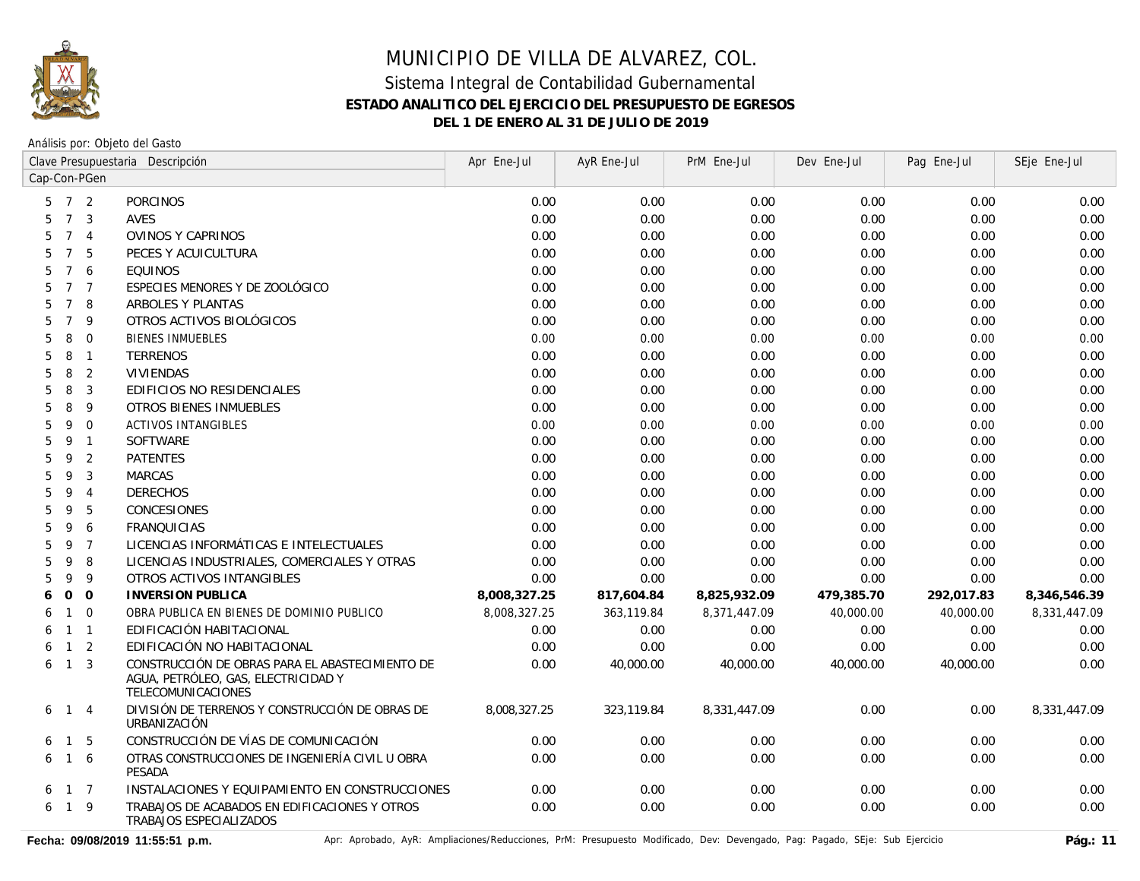

Análisis por: Objeto del Gasto

|                                       | Clave Presupuestaria Descripción                                                                             | Apr Ene-Jul  | AyR Ene-Jul | PrM Ene-Jul  | Dev Ene-Jul | Pag Ene-Jul | SEje Ene-Jul |
|---------------------------------------|--------------------------------------------------------------------------------------------------------------|--------------|-------------|--------------|-------------|-------------|--------------|
| Cap-Con-PGen                          |                                                                                                              |              |             |              |             |             |              |
| $7\overline{ }$<br>2<br>5             | PORCINOS                                                                                                     | 0.00         | 0.00        | 0.00         | 0.00        | 0.00        | 0.00         |
| $7\overline{ }$<br>3<br>5             | AVES                                                                                                         | 0.00         | 0.00        | 0.00         | 0.00        | 0.00        | 0.00         |
| $\overline{7}$<br>$\overline{4}$<br>5 | <b>OVINOS Y CAPRINOS</b>                                                                                     | 0.00         | 0.00        | 0.00         | 0.00        | 0.00        | 0.00         |
| $\overline{7}$<br>5<br>5              | PECES Y ACUICULTURA                                                                                          | 0.00         | 0.00        | 0.00         | 0.00        | 0.00        | 0.00         |
| $\overline{7}$<br>6<br>5              | <b>EQUINOS</b>                                                                                               | 0.00         | 0.00        | 0.00         | 0.00        | 0.00        | 0.00         |
| $\overline{7}$<br>5<br>$\overline{7}$ | ESPECIES MENORES Y DE ZOOLÓGICO                                                                              | 0.00         | 0.00        | 0.00         | 0.00        | 0.00        | 0.00         |
| $\overline{7}$<br>8<br>5              | ARBOLES Y PLANTAS                                                                                            | 0.00         | 0.00        | 0.00         | 0.00        | 0.00        | 0.00         |
| $\overline{7}$<br>9<br>5              | OTROS ACTIVOS BIOLÓGICOS                                                                                     | 0.00         | 0.00        | 0.00         | 0.00        | 0.00        | 0.00         |
| 8<br>$\mathbf{0}$<br>5                | <b>BIENES INMUEBLES</b>                                                                                      | 0.00         | 0.00        | 0.00         | 0.00        | 0.00        | 0.00         |
| $\mathbf{1}$<br>8<br>5                | <b>TERRENOS</b>                                                                                              | 0.00         | 0.00        | 0.00         | 0.00        | 0.00        | 0.00         |
| $\overline{2}$<br>8<br>5              | VIVIENDAS                                                                                                    | 0.00         | 0.00        | 0.00         | 0.00        | 0.00        | 0.00         |
| 3<br>5<br>8                           | EDIFICIOS NO RESIDENCIALES                                                                                   | 0.00         | 0.00        | 0.00         | 0.00        | 0.00        | 0.00         |
| 8<br>9<br>5                           | OTROS BIENES INMUEBLES                                                                                       | 0.00         | 0.00        | 0.00         | 0.00        | 0.00        | 0.00         |
| $\mathbf 0$<br>5<br>9                 | <b>ACTIVOS INTANGIBLES</b>                                                                                   | 0.00         | 0.00        | 0.00         | 0.00        | 0.00        | 0.00         |
| 9<br>$\overline{1}$<br>5              | <b>SOFTWARE</b>                                                                                              | 0.00         | 0.00        | 0.00         | 0.00        | 0.00        | 0.00         |
| 9<br>2<br>5                           | <b>PATENTES</b>                                                                                              | 0.00         | 0.00        | 0.00         | 0.00        | 0.00        | 0.00         |
| 3<br>9<br>5                           | <b>MARCAS</b>                                                                                                | 0.00         | 0.00        | 0.00         | 0.00        | 0.00        | 0.00         |
| 5<br>9<br>$\overline{4}$              | <b>DERECHOS</b>                                                                                              | 0.00         | 0.00        | 0.00         | 0.00        | 0.00        | 0.00         |
| 9<br>5<br>5                           | CONCESIONES                                                                                                  | 0.00         | 0.00        | 0.00         | 0.00        | 0.00        | 0.00         |
| 9<br>6<br>5                           | <b>FRANQUICIAS</b>                                                                                           | 0.00         | 0.00        | 0.00         | 0.00        | 0.00        | 0.00         |
| 9<br>$\overline{7}$<br>5              | LICENCIAS INFORMÁTICAS E INTELECTUALES                                                                       | 0.00         | 0.00        | 0.00         | 0.00        | 0.00        | 0.00         |
| 8<br>9<br>5                           | LICENCIAS INDUSTRIALES, COMERCIALES Y OTRAS                                                                  | 0.00         | 0.00        | 0.00         | 0.00        | 0.00        | 0.00         |
| 5<br>9<br>9                           | OTROS ACTIVOS INTANGIBLES                                                                                    | 0.00         | 0.00        | 0.00         | 0.00        | 0.00        | 0.00         |
| $\Omega$<br>$\Omega$<br>6             | <b>INVERSION PUBLICA</b>                                                                                     | 8,008,327.25 | 817,604.84  | 8,825,932.09 | 479,385.70  | 292,017.83  | 8,346,546.39 |
| $\mathbf 0$<br>$\mathbf{1}$<br>6      | OBRA PUBLICA EN BIENES DE DOMINIO PUBLICO                                                                    | 8,008,327.25 | 363,119.84  | 8,371,447.09 | 40,000.00   | 40,000.00   | 8,331,447.09 |
| $\overline{1}$<br>$\mathbf{1}$<br>6   | EDIFICACIÓN HABITACIONAL                                                                                     | 0.00         | 0.00        | 0.00         | 0.00        | 0.00        | 0.00         |
| 2<br>$\mathbf{1}$<br>6                | EDIFICACIÓN NO HABITACIONAL                                                                                  | 0.00         | 0.00        | 0.00         | 0.00        | 0.00        | 0.00         |
| $\overline{3}$<br>6<br>$\mathbf{1}$   | CONSTRUCCIÓN DE OBRAS PARA EL ABASTECIMIENTO DE<br>AGUA, PETRÓLEO, GAS, ELECTRICIDAD Y<br>TELECOMUNICACIONES | 0.00         | 40,000.00   | 40,000.00    | 40,000.00   | 40,000.00   | 0.00         |
| $\overline{4}$<br>6<br>$\overline{1}$ | DIVISIÓN DE TERRENOS Y CONSTRUCCIÓN DE OBRAS DE<br>URBANIZACIÓN                                              | 8,008,327.25 | 323,119.84  | 8,331,447.09 | 0.00        | 0.00        | 8,331,447.09 |
| 5<br>$\mathbf{1}$<br>6                | CONSTRUCCIÓN DE VÍAS DE COMUNICACIÓN                                                                         | 0.00         | 0.00        | 0.00         | 0.00        | 0.00        | 0.00         |
| $1\quad6$<br>6                        | OTRAS CONSTRUCCIONES DE INGENIERÍA CIVIL U OBRA<br>PESADA                                                    | 0.00         | 0.00        | 0.00         | 0.00        | 0.00        | 0.00         |
| $1 \quad 7$<br>6                      | INSTALACIONES Y EQUIPAMIENTO EN CONSTRUCCIONES                                                               | 0.00         | 0.00        | 0.00         | 0.00        | 0.00        | 0.00         |
| $1 \quad 9$<br>6                      | TRABAJOS DE ACABADOS EN EDIFICACIONES Y OTROS<br>TRABAJOS ESPECIALIZADOS                                     | 0.00         | 0.00        | 0.00         | 0.00        | 0.00        | 0.00         |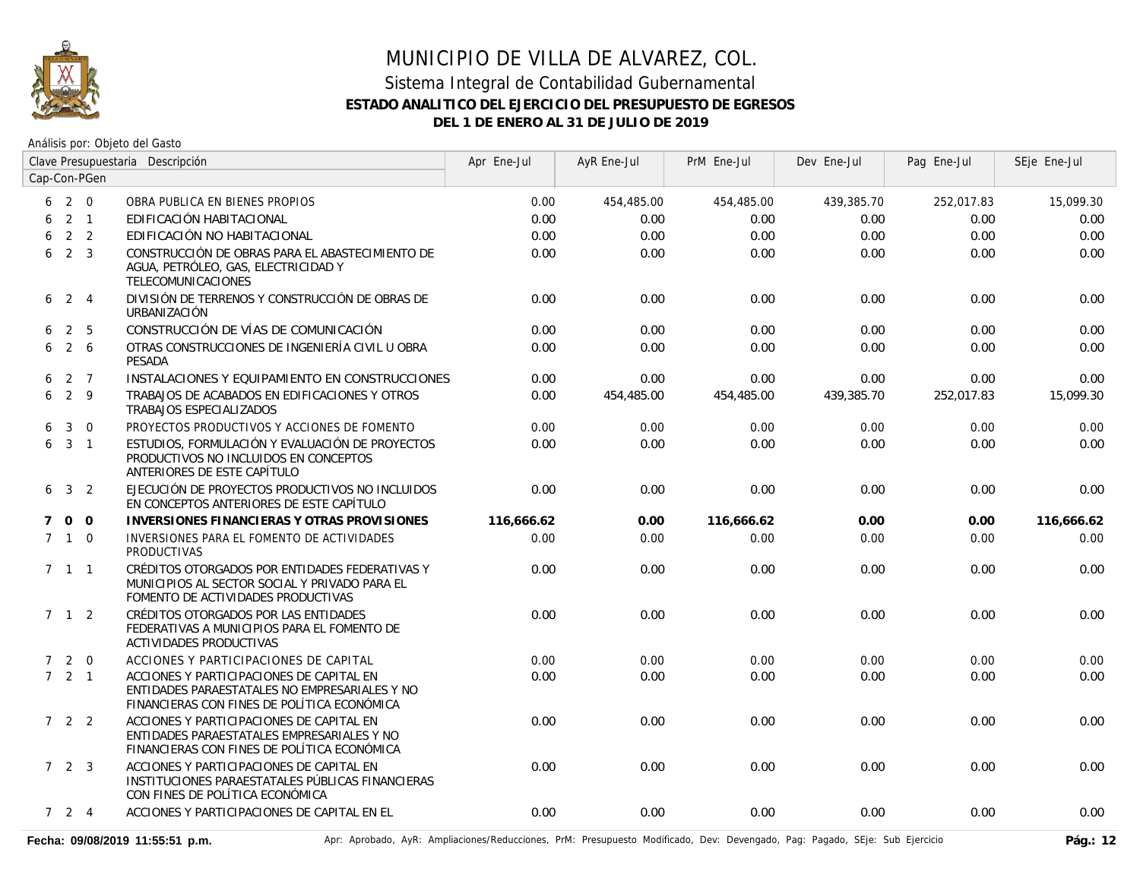

Análisis por: Objeto del Gasto

|             |                     |                | Clave Presupuestaria Descripción                                                                                                         | Apr Ene-Jul | AyR Ene-Jul | PrM Ene-Jul | Dev Ene-Jul | Pag Ene-Jul | SEje Ene-Jul |
|-------------|---------------------|----------------|------------------------------------------------------------------------------------------------------------------------------------------|-------------|-------------|-------------|-------------|-------------|--------------|
|             |                     | Cap-Con-PGen   |                                                                                                                                          |             |             |             |             |             |              |
| 6           | 2 0                 |                | OBRA PUBLICA EN BIENES PROPIOS                                                                                                           | 0.00        | 454,485.00  | 454,485.00  | 439,385.70  | 252,017.83  | 15,099.30    |
| 6           | $2 \quad 1$         |                | EDIFICACIÓN HABITACIONAL                                                                                                                 | 0.00        | 0.00        | 0.00        | 0.00        | 0.00        | 0.00         |
| 6           |                     | 2 <sub>2</sub> | EDIFICACIÓN NO HABITACIONAL                                                                                                              | 0.00        | 0.00        | 0.00        | 0.00        | 0.00        | 0.00         |
| 6           | $2 \quad 3$         |                | CONSTRUCCIÓN DE OBRAS PARA EL ABASTECIMIENTO DE<br>AGUA, PETRÓLEO, GAS, ELECTRICIDAD Y<br>TELECOMUNICACIONES                             | 0.00        | 0.00        | 0.00        | 0.00        | 0.00        | 0.00         |
|             | $6\quad 2\quad 4$   |                | DIVISIÓN DE TERRENOS Y CONSTRUCCIÓN DE OBRAS DE<br>URBANIZACIÓN                                                                          | 0.00        | 0.00        | 0.00        | 0.00        | 0.00        | 0.00         |
| 6           |                     | 2 <sub>5</sub> | CONSTRUCCIÓN DE VÍAS DE COMUNICACIÓN                                                                                                     | 0.00        | 0.00        | 0.00        | 0.00        | 0.00        | 0.00         |
| 6           |                     | $2\quad 6$     | OTRAS CONSTRUCCIONES DE INGENIERÍA CIVIL U OBRA<br><b>PESADA</b>                                                                         | 0.00        | 0.00        | 0.00        | 0.00        | 0.00        | 0.00         |
| 6           |                     | 2 7            | INSTALACIONES Y EQUIPAMIENTO EN CONSTRUCCIONES                                                                                           | 0.00        | 0.00        | 0.00        | 0.00        | 0.00        | 0.00         |
| 6           | 2 9                 |                | TRABAJOS DE ACABADOS EN EDIFICACIONES Y OTROS<br>TRABAJOS ESPECIALIZADOS                                                                 | 0.00        | 454,485.00  | 454,485.00  | 439,385.70  | 252,017.83  | 15,099.30    |
| 6           | 3                   | $\overline{0}$ | PROYECTOS PRODUCTIVOS Y ACCIONES DE FOMENTO                                                                                              | 0.00        | 0.00        | 0.00        | 0.00        | 0.00        | 0.00         |
| 6           | $3 \quad 1$         |                | ESTUDIOS, FORMULACIÓN Y EVALUACIÓN DE PROYECTOS<br>PRODUCTIVOS NO INCLUIDOS EN CONCEPTOS<br>ANTERIORES DE ESTE CAPÍTULO                  | 0.00        | 0.00        | 0.00        | 0.00        | 0.00        | 0.00         |
| 6           |                     | 3 <sub>2</sub> | EJECUCIÓN DE PROYECTOS PRODUCTIVOS NO INCLUIDOS<br>EN CONCEPTOS ANTERIORES DE ESTE CAPÍTULO                                              | 0.00        | 0.00        | 0.00        | 0.00        | 0.00        | 0.00         |
| $7^{\circ}$ | $0\quad 0$          |                | INVERSIONES FINANCIERAS Y OTRAS PROVISIONES                                                                                              | 116,666.62  | 0.00        | 116,666.62  | 0.00        | 0.00        | 116,666.62   |
|             | $7\quad1\quad0$     |                | INVERSIONES PARA EL FOMENTO DE ACTIVIDADES<br><b>PRODUCTIVAS</b>                                                                         | 0.00        | 0.00        | 0.00        | 0.00        | 0.00        | 0.00         |
|             | $7 \quad 1 \quad 1$ |                | CRÉDITOS OTORGADOS POR ENTIDADES FEDERATIVAS Y<br>MUNICIPIOS AL SECTOR SOCIAL Y PRIVADO PARA EL<br>FOMENTO DE ACTIVIDADES PRODUCTIVAS    | 0.00        | 0.00        | 0.00        | 0.00        | 0.00        | 0.00         |
|             | $7 \quad 1 \quad 2$ |                | CRÉDITOS OTORGADOS POR LAS ENTIDADES<br>FEDERATIVAS A MUNICIPIOS PARA EL FOMENTO DE<br>ACTIVIDADES PRODUCTIVAS                           | 0.00        | 0.00        | 0.00        | 0.00        | 0.00        | 0.00         |
|             | 720                 |                | ACCIONES Y PARTICIPACIONES DE CAPITAL                                                                                                    | 0.00        | 0.00        | 0.00        | 0.00        | 0.00        | 0.00         |
|             | 721                 |                | ACCIONES Y PARTICIPACIONES DE CAPITAL EN<br>ENTIDADES PARAESTATALES NO EMPRESARIALES Y NO<br>FINANCIERAS CON FINES DE POLÍTICA ECONÓMICA | 0.00        | 0.00        | 0.00        | 0.00        | 0.00        | 0.00         |
|             | $722$               |                | ACCIONES Y PARTICIPACIONES DE CAPITAL EN<br>ENTIDADES PARAESTATALES EMPRESARIALES Y NO<br>FINANCIERAS CON FINES DE POLÍTICA ECONÓMICA    | 0.00        | 0.00        | 0.00        | 0.00        | 0.00        | 0.00         |
|             | 723                 |                | ACCIONES Y PARTICIPACIONES DE CAPITAL EN<br>INSTITUCIONES PARAESTATALES PÚBLICAS FINANCIERAS<br>CON FINES DE POLÍTICA ECONÓMICA          | 0.00        | 0.00        | 0.00        | 0.00        | 0.00        | 0.00         |
|             | $7 \quad 2 \quad 4$ |                | ACCIONES Y PARTICIPACIONES DE CAPITAL EN EL                                                                                              | 0.00        | 0.00        | 0.00        | 0.00        | 0.00        | 0.00         |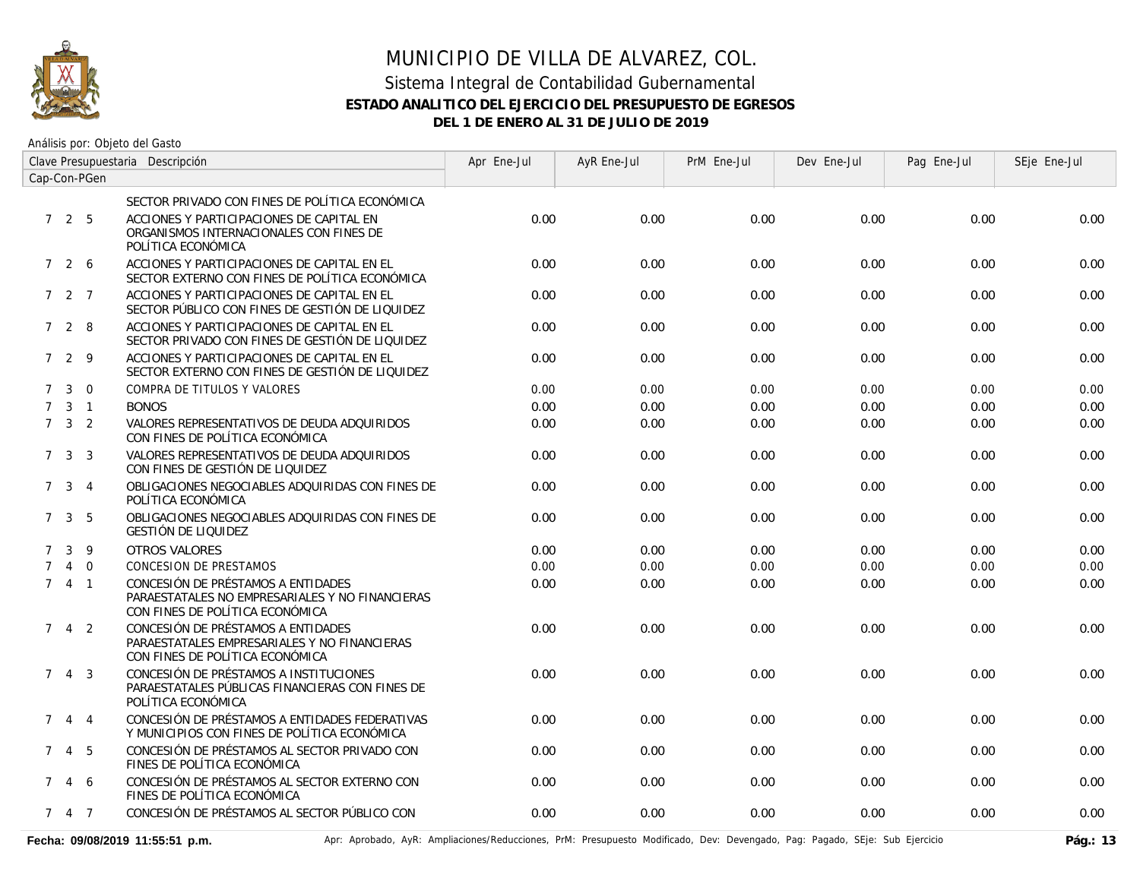

Análisis por: Objeto del Gasto

| Clave Presupuestaria Descripción |                     |                |                                                                                                                          | Apr Ene-Jul | AyR Ene-Jul | PrM Ene-Jul | Dev Ene-Jul | Pag Ene-Jul | SEje Ene-Jul |
|----------------------------------|---------------------|----------------|--------------------------------------------------------------------------------------------------------------------------|-------------|-------------|-------------|-------------|-------------|--------------|
| Cap-Con-PGen                     |                     |                |                                                                                                                          |             |             |             |             |             |              |
|                                  |                     |                | SECTOR PRIVADO CON FINES DE POLÍTICA ECONÓMICA                                                                           |             |             |             |             |             |              |
|                                  | 725                 |                | ACCIONES Y PARTICIPACIONES DE CAPITAL EN<br>ORGANISMOS INTERNACIONALES CON FINES DE<br>POLÍTICA ECONÓMICA                | 0.00        | 0.00        | 0.00        | 0.00        | 0.00        | 0.00         |
|                                  | 7 2 6               |                | ACCIONES Y PARTICIPACIONES DE CAPITAL EN EL<br>SECTOR EXTERNO CON FINES DE POLÍTICA ECONÓMICA                            | 0.00        | 0.00        | 0.00        | 0.00        | 0.00        | 0.00         |
|                                  | $727$               |                | ACCIONES Y PARTICIPACIONES DE CAPITAL EN EL<br>SECTOR PÚBLICO CON FINES DE GESTIÓN DE LIQUIDEZ                           | 0.00        | 0.00        | 0.00        | 0.00        | 0.00        | 0.00         |
|                                  | 728                 |                | ACCIONES Y PARTICIPACIONES DE CAPITAL EN EL<br>SECTOR PRIVADO CON FINES DE GESTIÓN DE LIQUIDEZ                           | 0.00        | 0.00        | 0.00        | 0.00        | 0.00        | 0.00         |
|                                  | 729                 |                | ACCIONES Y PARTICIPACIONES DE CAPITAL EN EL<br>SECTOR EXTERNO CON FINES DE GESTIÓN DE LIQUIDEZ                           | 0.00        | 0.00        | 0.00        | 0.00        | 0.00        | 0.00         |
| $7^{\circ}$                      | $\mathbf{3}$        | $\overline{0}$ | COMPRA DE TITULOS Y VALORES                                                                                              | 0.00        | 0.00        | 0.00        | 0.00        | 0.00        | 0.00         |
| $7^{\circ}$                      |                     | $3 \quad 1$    | <b>BONOS</b>                                                                                                             | 0.00        | 0.00        | 0.00        | 0.00        | 0.00        | 0.00         |
|                                  | $7 \quad 3 \quad 2$ |                | VALORES REPRESENTATIVOS DE DEUDA ADQUIRIDOS<br>CON FINES DE POLÍTICA ECONÓMICA                                           | 0.00        | 0.00        | 0.00        | 0.00        | 0.00        | 0.00         |
| 7                                | $\mathbf{3}$        | - 3            | VALORES REPRESENTATIVOS DE DEUDA ADQUIRIDOS<br>CON FINES DE GESTIÓN DE LIQUIDEZ                                          | 0.00        | 0.00        | 0.00        | 0.00        | 0.00        | 0.00         |
|                                  | $7 \t3 \t4$         |                | OBLIGACIONES NEGOCIABLES ADQUIRIDAS CON FINES DE<br>POLÍTICA ECONÓMICA                                                   | 0.00        | 0.00        | 0.00        | 0.00        | 0.00        | 0.00         |
| $7^{\circ}$                      |                     | 3 <sub>5</sub> | OBLIGACIONES NEGOCIABLES ADQUIRIDAS CON FINES DE<br><b>GESTIÓN DE LIQUIDEZ</b>                                           | 0.00        | 0.00        | 0.00        | 0.00        | 0.00        | 0.00         |
| 7                                | $\mathbf{3}$        | 9              | <b>OTROS VALORES</b>                                                                                                     | 0.00        | 0.00        | 0.00        | 0.00        | 0.00        | 0.00         |
| $\overline{7}$                   | $\overline{4}$      | $\overline{0}$ | CONCESION DE PRESTAMOS                                                                                                   | 0.00        | 0.00        | 0.00        | 0.00        | 0.00        | 0.00         |
|                                  | $741$               |                | CONCESIÓN DE PRÉSTAMOS A ENTIDADES<br>PARAESTATALES NO EMPRESARIALES Y NO FINANCIERAS<br>CON FINES DE POLÍTICA ECONÓMICA | 0.00        | 0.00        | 0.00        | 0.00        | 0.00        | 0.00         |
| $7^{\circ}$                      |                     | $4\quad 2$     | CONCESIÓN DE PRÉSTAMOS A ENTIDADES<br>PARAESTATALES EMPRESARIALES Y NO FINANCIERAS<br>CON FINES DE POLÍTICA ECONÓMICA    | 0.00        | 0.00        | 0.00        | 0.00        | 0.00        | 0.00         |
|                                  | 743                 |                | CONCESIÓN DE PRÉSTAMOS A INSTITUCIONES<br>PARAESTATALES PÚBLICAS FINANCIERAS CON FINES DE<br>POLÍTICA ECONÓMICA          | 0.00        | 0.00        | 0.00        | 0.00        | 0.00        | 0.00         |
| $7^{\circ}$                      |                     | 4 4            | CONCESIÓN DE PRÉSTAMOS A ENTIDADES FEDERATIVAS<br>Y MUNICIPIOS CON FINES DE POLÍTICA ECONÓMICA                           | 0.00        | 0.00        | 0.00        | 0.00        | 0.00        | 0.00         |
| $7^{\circ}$                      |                     | 4 5            | CONCESIÓN DE PRÉSTAMOS AL SECTOR PRIVADO CON<br>FINES DE POLÍTICA ECONÓMICA                                              | 0.00        | 0.00        | 0.00        | 0.00        | 0.00        | 0.00         |
|                                  | 7 4 6               |                | CONCESIÓN DE PRÉSTAMOS AL SECTOR EXTERNO CON<br>FINES DE POLÍTICA ECONÓMICA                                              | 0.00        | 0.00        | 0.00        | 0.00        | 0.00        | 0.00         |
|                                  | 7 4 7               |                | CONCESIÓN DE PRÉSTAMOS AL SECTOR PÚBLICO CON                                                                             | 0.00        | 0.00        | 0.00        | 0.00        | 0.00        | 0.00         |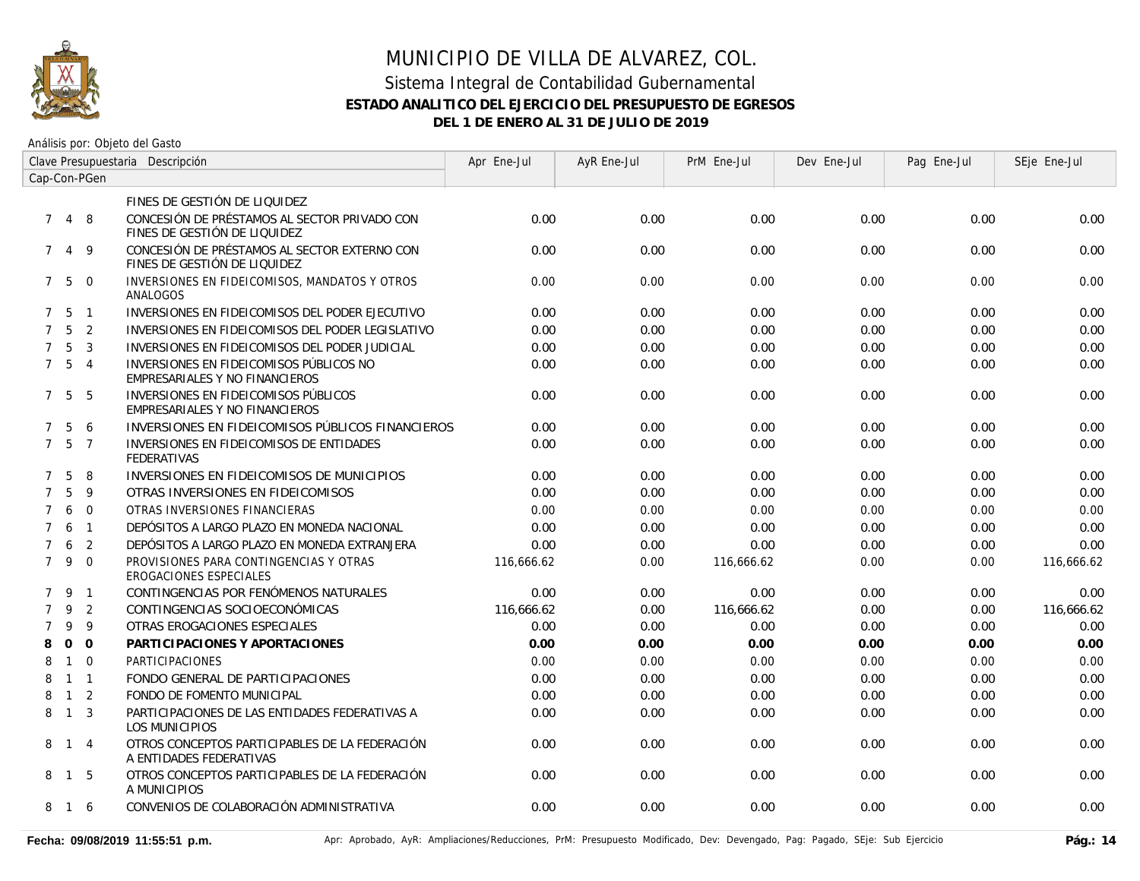

| Clave Presupuestaria Descripción |                   |                |                                                                              | Apr Ene-Jul | AyR Ene-Jul | PrM Ene-Jul | Dev Ene-Jul | Pag Ene-Jul | SEje Ene-Jul |
|----------------------------------|-------------------|----------------|------------------------------------------------------------------------------|-------------|-------------|-------------|-------------|-------------|--------------|
|                                  |                   | Cap-Con-PGen   |                                                                              |             |             |             |             |             |              |
|                                  |                   |                | FINES DE GESTIÓN DE LIQUIDEZ                                                 |             |             |             |             |             |              |
| $7^{\circ}$                      | 4 8               |                | CONCESIÓN DE PRÉSTAMOS AL SECTOR PRIVADO CON<br>FINES DE GESTIÓN DE LIQUIDEZ | 0.00        | 0.00        | 0.00        | 0.00        | 0.00        | 0.00         |
| $7^{\circ}$                      |                   | 4 9            | CONCESIÓN DE PRÉSTAMOS AL SECTOR EXTERNO CON<br>FINES DE GESTIÓN DE LIQUIDEZ | 0.00        | 0.00        | 0.00        | 0.00        | 0.00        | 0.00         |
|                                  | $7\quad 5\quad 0$ |                | INVERSIONES EN FIDEICOMISOS, MANDATOS Y OTROS<br>ANALOGOS                    | 0.00        | 0.00        | 0.00        | 0.00        | 0.00        | 0.00         |
|                                  | 7 5               | $\overline{1}$ | INVERSIONES EN FIDEICOMISOS DEL PODER EJECUTIVO                              | 0.00        | 0.00        | 0.00        | 0.00        | 0.00        | 0.00         |
| $7^{\circ}$                      | 5                 | $\overline{2}$ | INVERSIONES EN FIDEICOMISOS DEL PODER LEGISLATIVO                            | 0.00        | 0.00        | 0.00        | 0.00        | 0.00        | 0.00         |
| $7^{\circ}$                      | 5                 | $\overline{3}$ | INVERSIONES EN FIDEICOMISOS DEL PODER JUDICIAL                               | 0.00        | 0.00        | 0.00        | 0.00        | 0.00        | 0.00         |
|                                  | 7 <sub>5</sub>    | $\overline{4}$ | INVERSIONES EN FIDEICOMISOS PÚBLICOS NO<br>EMPRESARIALES Y NO FINANCIEROS    | 0.00        | 0.00        | 0.00        | 0.00        | 0.00        | 0.00         |
|                                  | 7 <sub>5</sub>    | - 5            | INVERSIONES EN FIDEICOMISOS PÚBLICOS<br>EMPRESARIALES Y NO FINANCIEROS       | 0.00        | 0.00        | 0.00        | 0.00        | 0.00        | 0.00         |
| $7^{\circ}$                      | 5                 | 6              | INVERSIONES EN FIDEICOMISOS PÚBLICOS FINANCIEROS                             | 0.00        | 0.00        | 0.00        | 0.00        | 0.00        | 0.00         |
| $7^{\circ}$                      | 5                 | $\overline{7}$ | INVERSIONES EN FIDEICOMISOS DE ENTIDADES<br><b>FEDERATIVAS</b>               | 0.00        | 0.00        | 0.00        | 0.00        | 0.00        | 0.00         |
| $\mathcal{I}$                    | 5                 | 8              | INVERSIONES EN FIDEICOMISOS DE MUNICIPIOS                                    | 0.00        | 0.00        | 0.00        | 0.00        | 0.00        | 0.00         |
| $\overline{7}$                   | 5                 | 9              | OTRAS INVERSIONES EN FIDEICOMISOS                                            | 0.00        | 0.00        | 0.00        | 0.00        | 0.00        | 0.00         |
| $\overline{7}$                   | 6                 | $\overline{0}$ | OTRAS INVERSIONES FINANCIERAS                                                | 0.00        | 0.00        | 0.00        | 0.00        | 0.00        | 0.00         |
| $\overline{7}$                   | 6                 | $\overline{1}$ | DEPÓSITOS A LARGO PLAZO EN MONEDA NACIONAL                                   | 0.00        | 0.00        | 0.00        | 0.00        | 0.00        | 0.00         |
| $\overline{7}$                   | 6                 | 2              | DEPÓSITOS A LARGO PLAZO EN MONEDA EXTRANJERA                                 | 0.00        | 0.00        | 0.00        | 0.00        | 0.00        | 0.00         |
| $\overline{7}$                   | 9                 | $\overline{0}$ | PROVISIONES PARA CONTINGENCIAS Y OTRAS<br>EROGACIONES ESPECIALES             | 116,666.62  | 0.00        | 116,666.62  | 0.00        | 0.00        | 116,666.62   |
|                                  | 7 9 1             |                | CONTINGENCIAS POR FENÓMENOS NATURALES                                        | 0.00        | 0.00        | 0.00        | 0.00        | 0.00        | 0.00         |
| $\overline{7}$                   | 9                 | $\overline{2}$ | CONTINGENCIAS SOCIOECONÓMICAS                                                | 116,666.62  | 0.00        | 116,666.62  | 0.00        | 0.00        | 116,666.62   |
| $\overline{7}$                   | 9                 | 9              | OTRAS EROGACIONES ESPECIALES                                                 | 0.00        | 0.00        | 0.00        | 0.00        | 0.00        | 0.00         |
| 8                                | $\mathbf{0}$      | $\overline{O}$ | PARTICIPACIONES Y APORTACIONES                                               | 0.00        | 0.00        | 0.00        | 0.00        | 0.00        | 0.00         |
| 8                                | $\mathbf{1}$      | $\Omega$       | PARTICIPACIONES                                                              | 0.00        | 0.00        | 0.00        | 0.00        | 0.00        | 0.00         |
| 8                                | $\mathbf{1}$      | $\overline{1}$ | FONDO GENERAL DE PARTICIPACIONES                                             | 0.00        | 0.00        | 0.00        | 0.00        | 0.00        | 0.00         |
| 8                                | $\mathbf{1}$      | 2              | FONDO DE FOMENTO MUNICIPAL                                                   | 0.00        | 0.00        | 0.00        | 0.00        | 0.00        | 0.00         |
| 8                                | $\overline{1}$    | $\overline{3}$ | PARTICIPACIONES DE LAS ENTIDADES FEDERATIVAS A<br>LOS MUNICIPIOS             | 0.00        | 0.00        | 0.00        | 0.00        | 0.00        | 0.00         |
|                                  | 8 1 4             |                | OTROS CONCEPTOS PARTICIPABLES DE LA FEDERACIÓN<br>A ENTIDADES FEDERATIVAS    | 0.00        | 0.00        | 0.00        | 0.00        | 0.00        | 0.00         |
| 8                                | $\overline{1}$    | -5             | OTROS CONCEPTOS PARTICIPABLES DE LA FEDERACIÓN<br>A MUNICIPIOS               | 0.00        | 0.00        | 0.00        | 0.00        | 0.00        | 0.00         |
| 8                                | $\overline{1}$    | 6              | CONVENIOS DE COLABORACIÓN ADMINISTRATIVA                                     | 0.00        | 0.00        | 0.00        | 0.00        | 0.00        | 0.00         |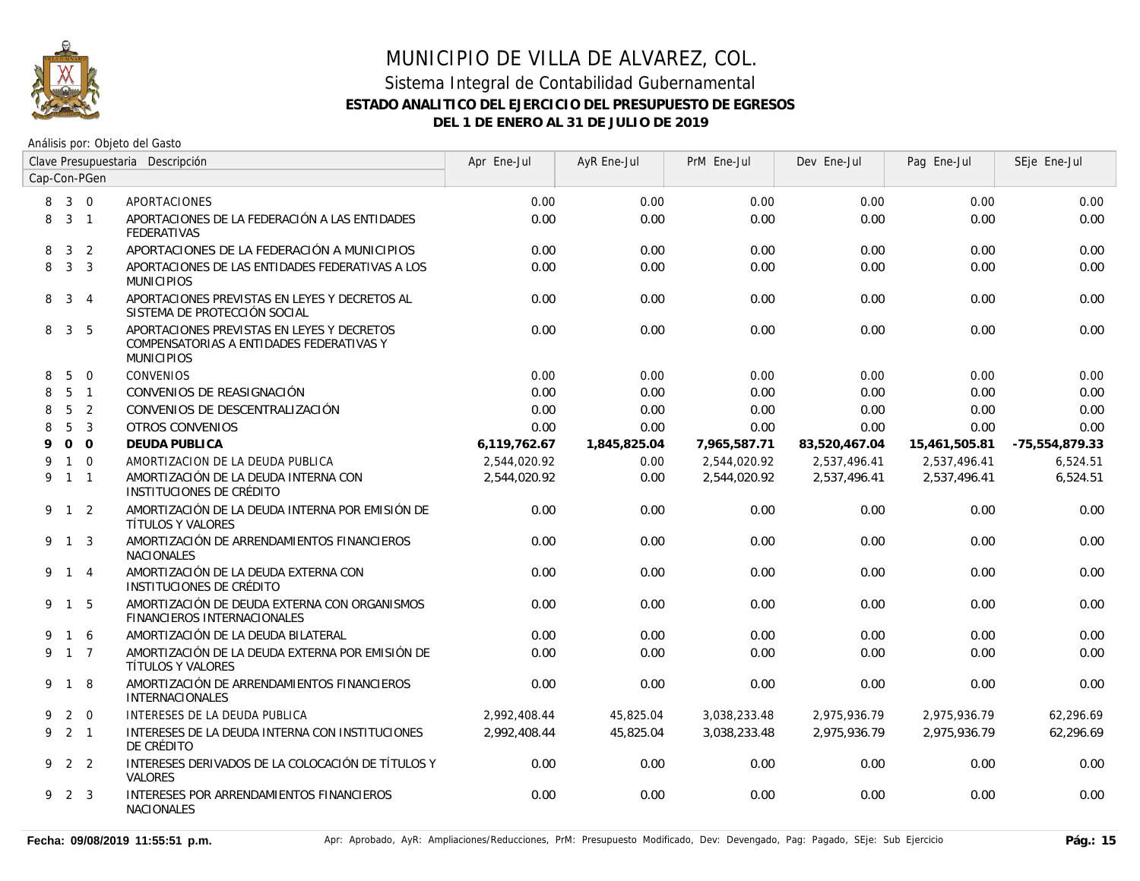

| Clave Presupuestaria Descripción |                     |                |                                                                                                             | Apr Ene-Jul  | AyR Ene-Jul  | PrM Ene-Jul  | Dev Ene-Jul   | Pag Ene-Jul   | SEje Ene-Jul   |
|----------------------------------|---------------------|----------------|-------------------------------------------------------------------------------------------------------------|--------------|--------------|--------------|---------------|---------------|----------------|
| Cap-Con-PGen                     |                     |                |                                                                                                             |              |              |              |               |               |                |
| 8                                | $3 \quad 0$         |                | <b>APORTACIONES</b>                                                                                         | 0.00         | 0.00         | 0.00         | 0.00          | 0.00          | 0.00           |
| 8                                |                     | $3 \quad 1$    | APORTACIONES DE LA FEDERACIÓN A LAS ENTIDADES<br><b>FEDERATIVAS</b>                                         | 0.00         | 0.00         | 0.00         | 0.00          | 0.00          | 0.00           |
| 8                                | 3                   | 2              | APORTACIONES DE LA FEDERACIÓN A MUNICIPIOS                                                                  | 0.00         | 0.00         | 0.00         | 0.00          | 0.00          | 0.00           |
| 8                                | 3 <sup>3</sup>      |                | APORTACIONES DE LAS ENTIDADES FEDERATIVAS A LOS<br><b>MUNICIPIOS</b>                                        | 0.00         | 0.00         | 0.00         | 0.00          | 0.00          | 0.00           |
| 8                                |                     | $3 \quad 4$    | APORTACIONES PREVISTAS EN LEYES Y DECRETOS AL<br>SISTEMA DE PROTECCIÓN SOCIAL                               | 0.00         | 0.00         | 0.00         | 0.00          | 0.00          | 0.00           |
| 8                                | $\mathbf{3}$        | -5             | APORTACIONES PREVISTAS EN LEYES Y DECRETOS<br>COMPENSATORIAS A ENTIDADES FEDERATIVAS Y<br><b>MUNICIPIOS</b> | 0.00         | 0.00         | 0.00         | 0.00          | 0.00          | 0.00           |
| 8                                | 5                   | $\overline{0}$ | <b>CONVENIOS</b>                                                                                            | 0.00         | 0.00         | 0.00         | 0.00          | 0.00          | 0.00           |
| 8                                |                     | 5 <sub>1</sub> | CONVENIOS DE REASIGNACIÓN                                                                                   | 0.00         | 0.00         | 0.00         | 0.00          | 0.00          | 0.00           |
| 8                                | 5                   | 2              | CONVENIOS DE DESCENTRALIZACIÓN                                                                              | 0.00         | 0.00         | 0.00         | 0.00          | 0.00          | 0.00           |
| 8                                | 5                   | $\overline{3}$ | <b>OTROS CONVENIOS</b>                                                                                      | 0.00         | 0.00         | 0.00         | 0.00          | 0.00          | 0.00           |
| 9                                |                     | 0 <sub>0</sub> | <b>DEUDA PUBLICA</b>                                                                                        | 6,119,762.67 | 1,845,825.04 | 7,965,587.71 | 83,520,467.04 | 15,461,505.81 | -75,554,879.33 |
| 9                                |                     | $1 \quad 0$    | AMORTIZACION DE LA DEUDA PUBLICA                                                                            | 2,544,020.92 | 0.00         | 2,544,020.92 | 2,537,496.41  | 2,537,496.41  | 6,524.51       |
|                                  | 9 1 1               |                | AMORTIZACIÓN DE LA DEUDA INTERNA CON<br>INSTITUCIONES DE CRÉDITO                                            | 2,544,020.92 | 0.00         | 2,544,020.92 | 2,537,496.41  | 2,537,496.41  | 6,524.51       |
|                                  | $9 \quad 1 \quad 2$ |                | AMORTIZACIÓN DE LA DEUDA INTERNA POR EMISIÓN DE<br>TÍTULOS Y VALORES                                        | 0.00         | 0.00         | 0.00         | 0.00          | 0.00          | 0.00           |
|                                  | 9 1 3               |                | AMORTIZACIÓN DE ARRENDAMIENTOS FINANCIEROS<br><b>NACIONALES</b>                                             | 0.00         | 0.00         | 0.00         | 0.00          | 0.00          | 0.00           |
|                                  | 9 1 4               |                | AMORTIZACIÓN DE LA DEUDA EXTERNA CON<br>INSTITUCIONES DE CRÉDITO                                            | 0.00         | 0.00         | 0.00         | 0.00          | 0.00          | 0.00           |
|                                  | 9 1 5               |                | AMORTIZACIÓN DE DEUDA EXTERNA CON ORGANISMOS<br>FINANCIEROS INTERNACIONALES                                 | 0.00         | 0.00         | 0.00         | 0.00          | 0.00          | 0.00           |
| 9                                | 1 6                 |                | AMORTIZACIÓN DE LA DEUDA BILATERAL                                                                          | 0.00         | 0.00         | 0.00         | 0.00          | 0.00          | 0.00           |
| 9                                | $1\quad 7$          |                | AMORTIZACIÓN DE LA DEUDA EXTERNA POR EMISIÓN DE<br>TÍTULOS Y VALORES                                        | 0.00         | 0.00         | 0.00         | 0.00          | 0.00          | 0.00           |
|                                  | 9 1                 | 8              | AMORTIZACIÓN DE ARRENDAMIENTOS FINANCIEROS<br>INTERNACIONALES                                               | 0.00         | 0.00         | 0.00         | 0.00          | 0.00          | 0.00           |
| 9                                |                     | $2 \quad 0$    | INTERESES DE LA DEUDA PUBLICA                                                                               | 2,992,408.44 | 45,825.04    | 3,038,233.48 | 2,975,936.79  | 2,975,936.79  | 62,296.69      |
|                                  | $9$ 2 1             |                | INTERESES DE LA DEUDA INTERNA CON INSTITUCIONES<br>DE CRÉDITO                                               | 2,992,408.44 | 45,825.04    | 3,038,233.48 | 2,975,936.79  | 2,975,936.79  | 62,296.69      |
|                                  | 9 2 2               |                | INTERESES DERIVADOS DE LA COLOCACIÓN DE TÍTULOS Y<br><b>VALORES</b>                                         | 0.00         | 0.00         | 0.00         | 0.00          | 0.00          | 0.00           |
|                                  | 9 2 3               |                | INTERESES POR ARRENDAMIENTOS FINANCIEROS<br><b>NACIONALES</b>                                               | 0.00         | 0.00         | 0.00         | 0.00          | 0.00          | 0.00           |